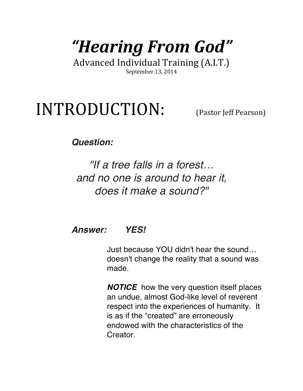# *"Hearing From God"*

Advanced Individual Training (A.I.T.) September 13, 2014

# INTRODUCTION: (Pastor Jeff Pearson)

### *Question:*

*"If a tree falls in a forest… and no one is around to hear it, does it make a sound?"* 

### *Answer: YES!*

Just because YOU didn't hear the sound… doesn't change the reality that a sound was made.

*NOTICE* how the very question itself places an undue, almost God-like level of reverent respect into the experiences of humanity. It is as if the "created" are erroneously endowed with the characteristics of the Creator.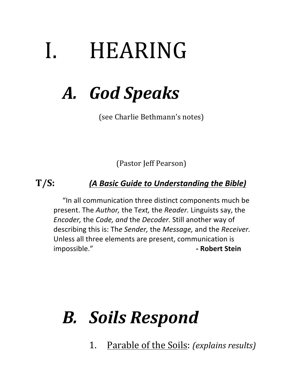# I. HEARING

# *A. God Speaks*

(see Charlie Bethmann's notes)

(Pastor Jeff Pearson)

### **T/S:** *(A Basic Guide to Understanding the Bible)*

"In all communication three distinct components much be present. The *Author*, the Text, the *Reader*. Linguists say, the *Encoder,* the *Code, and* the *Decoder*. Still another way of describing this is: The Sender, the Message, and the Receiver. Unless all three elements are present, communication is impossible." **- COLOREGIST:** THE ROBERT Stein

## *B. Soils Respond*

1. Parable of the Soils: *(explains results)*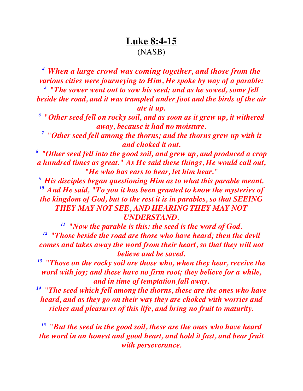### **Luke 8:4-15** (NASB)

*<sup>4</sup> When a large crowd was coming together, and those from the various cities were journeying to Him, He spoke by way of a parable: <sup>5</sup> "The sower went out to sow his seed; and as he sowed, some fell beside the road, and it was trampled under foot and the birds of the air* 

*ate it up.* 

*<sup>6</sup> "Other seed fell on rocky soil, and as soon as it grew up, it withered away, because it had no moisture.* 

*<sup>7</sup> "Other seed fell among the thorns; and the thorns grew up with it and choked it out.* 

*8 "Other seed fell into the good soil, and grew up, and produced a crop a hundred times as great." As He said these things, He would call out, "He who has ears to hear, let him hear."* 

*<sup>9</sup> His disciples began questioning Him as to what this parable meant. <sup>10</sup> And He said, "To you it has been granted to know the mysteries of the kingdom of God, but to the rest it is in parables, so that SEEING THEY MAY NOT SEE, AND HEARING THEY MAY NOT*

*UNDERSTAND.*<br><sup>11</sup> "Now the parable is this: the seed is the word of God. *12 "Those beside the road are those who have heard; then the devil comes and takes away the word from their heart, so that they will not believe and be saved.* 

*13 "Those on the rocky soil are those who, when they hear, receive the word with joy; and these have no firm root; they believe for a while, and in time of temptation fall away.* 

*14 "The seed which fell among the thorns, these are the ones who have heard, and as they go on their way they are choked with worries and riches and pleasures of this life, and bring no fruit to maturity.* 

*15 "But the seed in the good soil, these are the ones who have heard the word in an honest and good heart, and hold it fast, and bear fruit with perseverance.*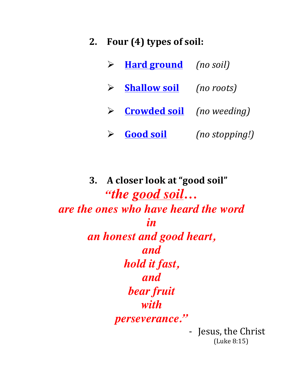- **2. Four (4) types of soil:**
	- > **Hard ground** (no soil)
	- ! **Shallow soil** *(no roots)*
	- ! **Crowded soil** *(no weeding)*
	- > **Good soil** *(no stopping!)*

**3. A closer look at "good soil"** *"the good soil… are the ones who have heard the word in an honest and good heart, and hold it fast, and bear fruit with perseverance."*

- Jesus, the Christ (Luke 8:15)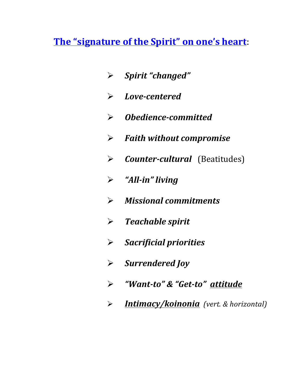**The "signature of the Spirit" on one's heart:** 

- ! *Spirit "changed"*
- ! *Love-centered*
- ! *Obedience-committed*
- ! *Faith without compromise*
- > *Counter-cultural* (Beatitudes)
- ! *"All-in" living*
- ! *Missional commitments*
- ! *Teachable spirit*
- ! *Sacrificial priorities*
- ! *Surrendered Joy*
- ! *"Want-to" & "Get-to" attitude*
- ! *Intimacy/koinonia (vert. & horizontal)*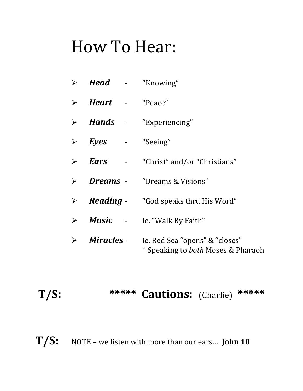# How To Hear:

| > <b>Head</b> - "Knowing"               |                                                                             |
|-----------------------------------------|-----------------------------------------------------------------------------|
| $\triangleright$ <b>Heart</b> - "Peace" |                                                                             |
|                                         | > <i>Hands</i> - "Experiencing"                                             |
| $\triangleright$ <i>Eyes</i> - "Seeing" |                                                                             |
|                                         | $\triangleright$ <b>Ears</b> - "Christ" and/or "Christians"                 |
|                                         | > <b>Dreams</b> - "Dreams & Visions"                                        |
|                                         | $\triangleright$ <b>Reading</b> - "God speaks thru His Word"                |
|                                         | $\triangleright$ <b>Music</b> - ie. "Walk By Faith"                         |
| $\triangleright$ Miracles -             | ie. Red Sea "opens" & "closes"<br>* Speaking to <i>both</i> Moses & Pharaoh |

### **T/S: \*\*\*\*\* Cautions:** (Charlie) **\*\*\*\*\***

T/S: NOTE – we listen with more than our ears... **John 10**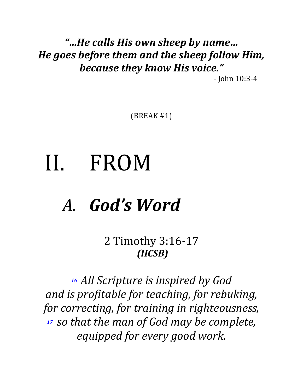### *"…He calls His own sheep by name… He goes before them and the sheep follow Him,* **because they know His voice."**

- John 10:3-4 

 $(BREAK #1)$ 

# II. FROM

# A. *God's* Word

2 Timothy 3:16-17 *(HCSB)*

16 All Scripture is inspired by God *and is profitable for teaching, for rebuking,* for correcting, for training in righteousness, <sup>17</sup> *so that the man of God may be complete, equipped for every good work.*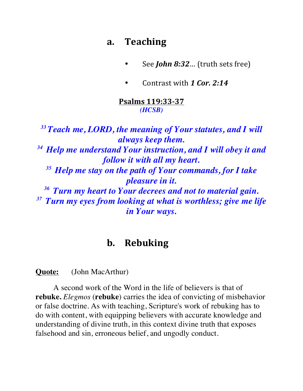### **a. Teaching**

- See *John 8:32*… (truth sets free)
- Contrast with 1 Cor. 2:14

#### **Psalms 119:33-37** *(HCSB)*

*33 Teach me, LORD, the meaning of Your statutes, and I will always keep them. 34 Help me understand Your instruction, and I will obey it and follow it with all my heart. 35 Help me stay on the path of Your commands, for I take pleasure in it. 36 Turn my heart to Your decrees and not to material gain. 37 Turn my eyes from looking at what is worthless; give me life in Your ways.*

### **b. Rebuking**

**Quote:** (John MacArthur)

A second work of the Word in the life of believers is that of **rebuke.** *Elegmos* (**rebuke**) carries the idea of convicting of misbehavior or false doctrine. As with teaching, Scripture's work of rebuking has to do with content, with equipping believers with accurate knowledge and understanding of divine truth, in this context divine truth that exposes falsehood and sin, erroneous belief, and ungodly conduct.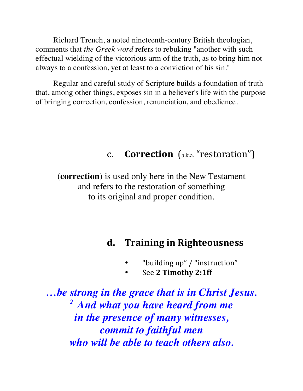Richard Trench, a noted nineteenth-century British theologian, comments that *the Greek word* refers to rebuking "another with such effectual wielding of the victorious arm of the truth, as to bring him not always to a confession, yet at least to a conviction of his sin."

Regular and careful study of Scripture builds a foundation of truth that, among other things, exposes sin in a believer's life with the purpose of bringing correction, confession, renunciation, and obedience.

### **c. Correction** (a.k.a. "restoration")

(**correction**) is used only here in the New Testament and refers to the restoration of something to its original and proper condition.

### **d. Training in Righteousness**

- "building up" / "instruction"
- See 2 Timothy 2:1ff

*…be strong in the grace that is in Christ Jesus. 2 And what you have heard from me in the presence of many witnesses, commit to faithful men who will be able to teach others also.*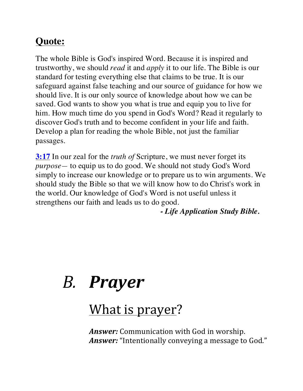### **Quote:**

The whole Bible is God's inspired Word. Because it is inspired and trustworthy, we should *read* it and *apply* it to our life. The Bible is our standard for testing everything else that claims to be true. It is our safeguard against false teaching and our source of guidance for how we should live. It is our only source of knowledge about how we can be saved. God wants to show you what is true and equip you to live for him. How much time do you spend in God's Word? Read it regularly to discover God's truth and to become confident in your life and faith. Develop a plan for reading the whole Bible, not just the familiar passages.

**3:17** In our zeal for the *truth of* Scripture, we must never forget its *purpose—* to equip us to do good. We should not study God's Word simply to increase our knowledge or to prepare us to win arguments. We should study the Bible so that we will know how to do Christ's work in the world. Our knowledge of God's Word is not useful unless it strengthens our faith and leads us to do good.

*- Life Application Study Bible.*

# *B. Prayer*

### What is prayer?

*Answer:* Communication with God in worship. *Answer:* "Intentionally conveying a message to God."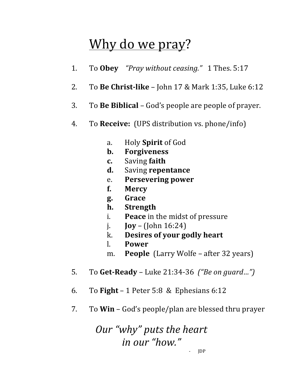### Why do we pray?

- 1. To Obey *"Pray without ceasing."* 1 Thes. 5:17
- 2. To **Be Christ-like** John 17 & Mark 1:35, Luke 6:12
- 3. To **Be Biblical** God's people are people of prayer.
- 4. To **Receive:** (UPS distribution vs. phone/info)
	- a. Holy **Spirit** of God
	- **b. Forgiveness**
	- **c.** Saving **faith**
	- **d.** Saving **repentance**
	- e. **Persevering power**
	- **f. Mercy**
	- **g. Grace**
	- **h. Strength**
	- i. **Peace** in the midst of pressure
	- **j. Joy** (John  $16:24$ )
	- k. **Desires of your godly heart**
	- l. **Power**
	- m. **People** (Larry Wolfe after 32 years)
- 5. To **Get-Ready** Luke 21:34-36 *("Be on guard...")*
- 6. To **Fight**  $-1$  Peter 5:8 & Ephesians 6:12
- 7. To **Win** God's people/plan are blessed thru prayer

*Our* "why" puts the heart *in our "how."*

- JDP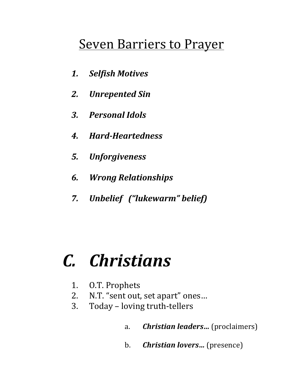### **Seven Barriers to Prayer**

- *1. Selfish Motives*
- *2. Unrepented Sin*
- *3. Personal Idols*
- *4. Hard-Heartedness*
- *5. Unforgiveness*
- *6. Wrong Relationships*
- *7. Unbelief ("lukewarm" belief)*

## *C. Christians*

- 1. O.T. Prophets
- 2. N.T. "sent out, set apart" ones...
- 3. Today loving truth-tellers
	- a. *Christian leaders...* (proclaimers)
	- b. *Christian lovers...* (presence)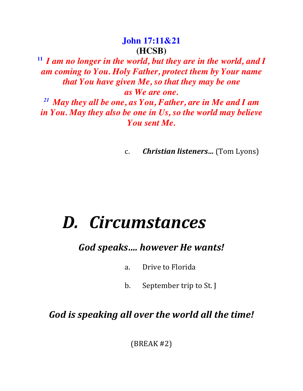### **John 17:11&21 (HCSB)**

**<sup>11</sup>** *I am no longer in the world, but they are in the world, and I am coming to You. Holy Father, protect them by Your name that You have given Me, so that they may be one as We are one.* 

*<sup>21</sup> May they all be one, as You, Father, are in Me and I am in You. May they also be one in Us, so the world may believe You sent Me.*

c. *Christian listeners...* (Tom Lyons)

## *D. Circumstances*

*God speaks…. however He wants!*

- a. Drive to Florida
- b. September trip to St. J

### God is speaking all over the world all the time!

 $(BREAK #2)$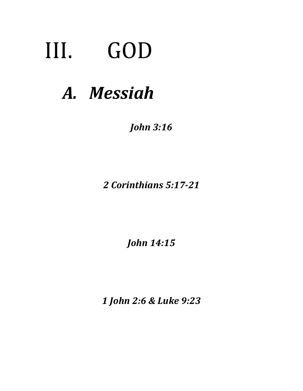# III. GOD

# *A. Messiah*

*John 3:16*

*2 Corinthians 5:17-21*

*John 14:15*

*1 John 2:6 & Luke 9:23*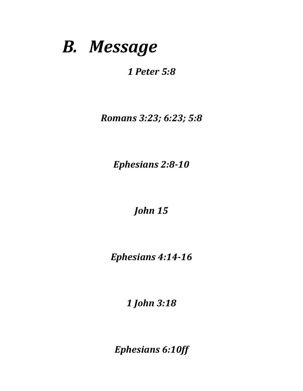## *B. Message*

*1 Peter 5:8*

*Romans 3:23; 6:23; 5:8*

*Ephesians 2:8-10*

*John 15*

*Ephesians 4:14-16*

*1 John 3:18*

*Ephesians 6:10ff*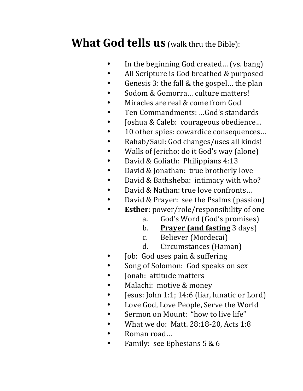### **What God tells us** (walk thru the Bible):

- In the beginning God created... (vs. bang)
- All Scripture is God breathed & purposed
- Genesis 3: the fall & the gospel... the plan
- Sodom & Gomorra... culture matters!
- Miracles are real & come from God
- Ten Commandments: ...God's standards
- Joshua & Caleb: courageous obedience...
- 10 other spies: cowardice consequences...
- Rahab/Saul: God changes/uses all kinds!
- Walls of Jericho: do it God's way (alone)
- David & Goliath: Philippians 4:13
- David & Jonathan: true brotherly love
- David & Bathsheba: intimacy with who?
- David & Nathan: true love confronts...
- David & Prayer: see the Psalms (passion)
- **Esther**: power/role/responsibility of one
	- a. God's Word (God's promises)
	- **b. Prayer (and fasting** 3 days)
	- c. Believer (Mordecai)
	- d. Circumstances (Haman)
- Job: God uses pain & suffering
- Song of Solomon: God speaks on sex
- Jonah: attitude matters
- Malachi: motive & money
- Jesus: John 1:1; 14:6 (liar, lunatic or Lord)
- Love God, Love People, Serve the World
- Sermon on Mount: "how to live life"
- What we do: Matt.  $28:18-20$ , Acts  $1:8$
- Roman road...
- Family: see Ephesians  $5 & 6$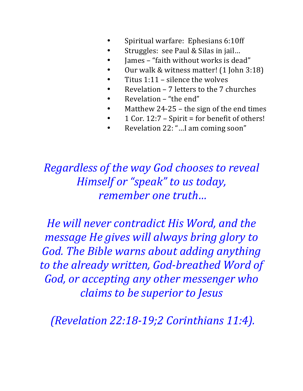- Spiritual warfare: Ephesians 6:10ff
- Struggles: see Paul & Silas in jail...
- James "faith without works is dead"
- Our walk & witness matter! (1 John 3:18)
- Titus  $1:11$  silence the wolves
- Revelation  $-7$  letters to the  $7$  churches
- Revelation "the end"
- Matthew  $24-25$  the sign of the end times
- 1 Cor.  $12:7$  Spirit = for benefit of others!
- Revelation 22: "...I am coming soon"

### *Regardless of the way God chooses to reveal Himself or "speak" to us today, remember one truth...*

*He will never contradict His Word, and the message He gives will always bring glory to God. The Bible warns about adding anything* to the already written, God-breathed Word of *God, or accepting any other messenger who claims to be superior to Jesus*

*(Revelation 22:18-19;2 Corinthians 11:4).*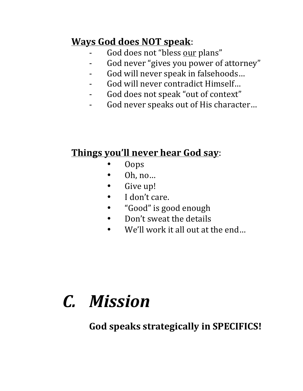### **Ways God does NOT speak**:

- God does not "bless our plans"
- God never "gives you power of attorney"
- God will never speak in falsehoods...
- God will never contradict Himself...
- God does not speak "out of context"
- God never speaks out of His character...

### **Things you'll never hear God say:**

- Oops
- Oh, no...
- Give up!
- I don't care.
- "Good" is good enough
- Don't sweat the details
- We'll work it all out at the end...

# *C. Mission*

God speaks strategically in SPECIFICS!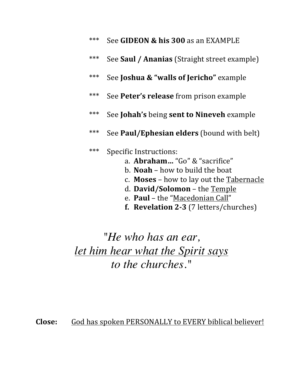| *** See GIDEON & his 300 as an EXAMPLE |
|----------------------------------------|
|                                        |

- \*\*\* See **Saul / Ananias** (Straight street example)
- \*\*\* See **Joshua & "walls of Jericho"** example
- \*\*\* See Peter's release from prison example
- \*\*\* See **Johah's** being **sent to Nineveh** example
- \*\*\* See **Paul/Ephesian elders** (bound with belt)

### \*\*\* Specific Instructions:

- a. **Abraham...** "Go" & "sacrifice"
- b. **Noah** how to build the boat
- c. **Moses** how to lay out the Tabernacle
- d. David/Solomon the Temple
- e. Paul the "Macedonian Call"
- **f. Revelation 2-3** (7 letters/churches)

*"He who has an ear, let him hear what the Spirit says to the churches."*

Close: God has spoken PERSONALLY to EVERY biblical believer!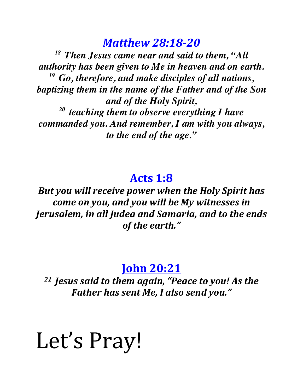*Matthew 28:18-20*

*18 Then Jesus came near and said to them, "All authority has been given to Me in heaven and on earth. 19 Go, therefore, and make disciples of all nations, baptizing them in the name of the Father and of the Son and of the Holy Spirit, 20 teaching them to observe everything I have commanded you. And remember, I am with you always, to the end of the age."*

### **Acts 1:8**

**But you will receive power when the Holy Spirit has** *come on you, and you will be My witnesses in Jerusalem, in all Judea and Samaria, and to the ends* of the earth."

### **John 20:21**

<sup>21</sup> Jesus said to them again, "Peace to you! As the **Father has sent Me, I also send you."** 

# Let's Pray!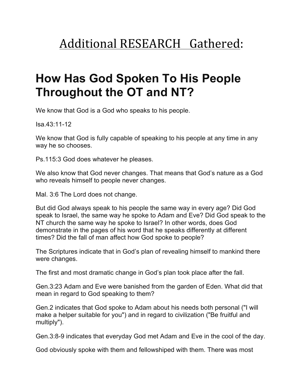### Additional RESEARCH Gathered:

### **How Has God Spoken To His People Throughout the OT and NT?**

We know that God is a God who speaks to his people.

Isa.43:11-12

We know that God is fully capable of speaking to his people at any time in any way he so chooses.

Ps.115:3 God does whatever he pleases.

We also know that God never changes. That means that God's nature as a God who reveals himself to people never changes.

Mal. 3:6 The Lord does not change.

But did God always speak to his people the same way in every age? Did God speak to Israel, the same way he spoke to Adam and Eve? Did God speak to the NT church the same way he spoke to Israel? In other words, does God demonstrate in the pages of his word that he speaks differently at different times? Did the fall of man affect how God spoke to people?

The Scriptures indicate that in God's plan of revealing himself to mankind there were changes.

The first and most dramatic change in God's plan took place after the fall.

Gen.3:23 Adam and Eve were banished from the garden of Eden. What did that mean in regard to God speaking to them?

Gen.2 indicates that God spoke to Adam about his needs both personal ("I will make a helper suitable for you") and in regard to civilization ("Be fruitful and multiply").

Gen.3:8-9 indicates that everyday God met Adam and Eve in the cool of the day.

God obviously spoke with them and fellowshiped with them. There was most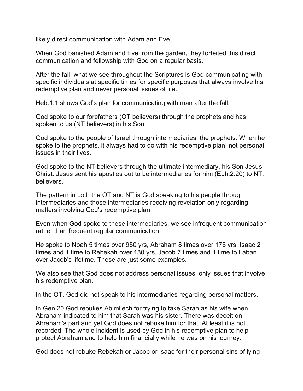likely direct communication with Adam and Eve.

When God banished Adam and Eve from the garden, they forfeited this direct communication and fellowship with God on a regular basis.

After the fall, what we see throughout the Scriptures is God communicating with specific individuals at specific times for specific purposes that always involve his redemptive plan and never personal issues of life.

Heb.1:1 shows God's plan for communicating with man after the fall.

God spoke to our forefathers (OT believers) through the prophets and has spoken to us (NT believers) in his Son

God spoke to the people of Israel through intermediaries, the prophets. When he spoke to the prophets, it always had to do with his redemptive plan, not personal issues in their lives.

God spoke to the NT believers through the ultimate intermediary, his Son Jesus Christ. Jesus sent his apostles out to be intermediaries for him (Eph.2:20) to NT. believers.

The pattern in both the OT and NT is God speaking to his people through intermediaries and those intermediaries receiving revelation only regarding matters involving God's redemptive plan.

Even when God spoke to these intermediaries, we see infrequent communication rather than frequent regular communication.

He spoke to Noah 5 times over 950 yrs, Abraham 8 times over 175 yrs, Isaac 2 times and 1 time to Rebekah over 180 yrs, Jacob 7 times and 1 time to Laban over Jacob's lifetime. These are just some examples.

We also see that God does not address personal issues, only issues that involve his redemptive plan.

In the OT, God did not speak to his intermediaries regarding personal matters.

In Gen.20 God rebukes Abimilech for trying to take Sarah as his wife when Abraham indicated to him that Sarah was his sister. There was deceit on Abraham's part and yet God does not rebuke him for that. At least it is not recorded. The whole incident is used by God in his redemptive plan to help protect Abraham and to help him financially while he was on his journey.

God does not rebuke Rebekah or Jacob or Isaac for their personal sins of lying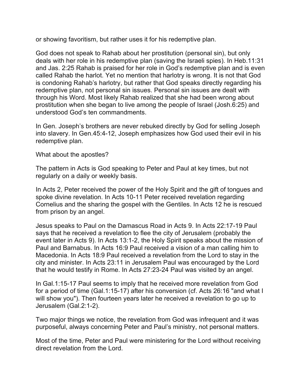or showing favoritism, but rather uses it for his redemptive plan.

God does not speak to Rahab about her prostitution (personal sin), but only deals with her role in his redemptive plan (saving the Israeli spies). In Heb.11:31 and Jas. 2:25 Rahab is praised for her role in God's redemptive plan and is even called Rahab the harlot. Yet no mention that harlotry is wrong. It is not that God is condoning Rahab's harlotry, but rather that God speaks directly regarding his redemptive plan, not personal sin issues. Personal sin issues are dealt with through his Word. Most likely Rahab realized that she had been wrong about prostitution when she began to live among the people of Israel (Josh.6:25) and understood God's ten commandments.

In Gen. Joseph's brothers are never rebuked directly by God for selling Joseph into slavery. In Gen.45:4-12, Joseph emphasizes how God used their evil in his redemptive plan.

What about the apostles?

The pattern in Acts is God speaking to Peter and Paul at key times, but not regularly on a daily or weekly basis.

In Acts 2, Peter received the power of the Holy Spirit and the gift of tongues and spoke divine revelation. In Acts 10-11 Peter received revelation regarding Cornelius and the sharing the gospel with the Gentiles. In Acts 12 he is rescued from prison by an angel.

Jesus speaks to Paul on the Damascus Road in Acts 9. In Acts 22:17-19 Paul says that he received a revelation to flee the city of Jerusalem (probably the event later in Acts 9). In Acts 13:1-2, the Holy Spirit speaks about the mission of Paul and Barnabus. In Acts 16:9 Paul received a vision of a man calling him to Macedonia. In Acts 18:9 Paul received a revelation from the Lord to stay in the city and minister. In Acts 23:11 in Jerusalem Paul was encouraged by the Lord that he would testify in Rome. In Acts 27:23-24 Paul was visited by an angel.

In Gal.1:15-17 Paul seems to imply that he received more revelation from God for a period of time (Gal.1:15-17) after his conversion (cf. Acts 26:16 "and what I will show you"). Then fourteen years later he received a revelation to go up to Jerusalem (Gal.2:1-2).

Two major things we notice, the revelation from God was infrequent and it was purposeful, always concerning Peter and Paul's ministry, not personal matters.

Most of the time, Peter and Paul were ministering for the Lord without receiving direct revelation from the Lord.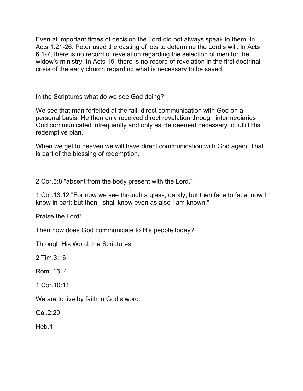Even at important times of decision the Lord did not always speak to them. In Acts 1:21-26, Peter used the casting of lots to determine the Lord's will. In Acts 6:1-7, there is no record of revelation regarding the selection of men for the widow's ministry. In Acts 15, there is no record of revelation in the first doctrinal crisis of the early church regarding what is necessary to be saved.

In the Scriptures what do we see God doing?

We see that man forfeited at the fall, direct communication with God on a personal basis. He then only received direct revelation through intermediaries. God communicated infrequently and only as He deemed necessary to fulfill His redemptive plan.

When we get to heaven we will have direct communication with God again. That is part of the blessing of redemption.

2 Cor.5:8 "absent from the body present with the Lord."

1 Cor.13:12 "For now we see through a glass, darkly; but then face to face: now I know in part; but then I shall know even as also I am known."

Praise the Lord!

Then how does God communicate to His people today?

Through His Word, the Scriptures.

2 Tim.3:16

Rom. 15: 4

1 Cor.10:11

We are to live by faith in God's word.

Gal.2:20

Heb.11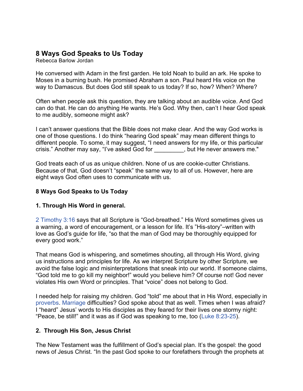### **8 Ways God Speaks to Us Today**

Rebecca Barlow Jordan

He conversed with Adam in the first garden. He told Noah to build an ark. He spoke to Moses in a burning bush. He promised Abraham a son. Paul heard His voice on the way to Damascus. But does God still speak to us today? If so, how? When? Where?

Often when people ask this question, they are talking about an audible voice. And God can do that. He can do anything He wants. He's God. Why then, can't I hear God speak to me audibly, someone might ask?

I can't answer questions that the Bible does not make clear. And the way God works is one of those questions. I do think "hearing God speak" may mean different things to different people. To some, it may suggest, "I need answers for my life, or this particular crisis." Another may say, "I've asked God for \_\_\_\_\_\_\_\_\_, but He never answers me."

God treats each of us as unique children. None of us are cookie-cutter Christians. Because of that, God doesn't "speak" the same way to all of us. However, here are eight ways God often uses to communicate with us.

#### **8 Ways God Speaks to Us Today**

#### **1. Through His Word in general.**

2 Timothy 3:16 says that all Scripture is "God-breathed." His Word sometimes gives us a warning, a word of encouragement, or a lesson for life. It's "His-story"–written with love as God's guide for life, "so that the man of God may be thoroughly equipped for every good work."

That means God is whispering, and sometimes shouting, all through His Word, giving us instructions and principles for life. As we interpret Scripture by other Scripture, we avoid the false logic and misinterpretations that sneak into our world. If someone claims, "God told me to go kill my neighbor!" would you believe him? Of course not! God never violates His own Word or principles. That "voice" does not belong to God.

I needed help for raising my children. God "told" me about that in His Word, especially in proverbs. Marriage difficulties? God spoke about that as well. Times when I was afraid? I "heard" Jesus' words to His disciples as they feared for their lives one stormy night: "Peace, be still!" and it was as if God was speaking to me, too (Luke 8:23-25).

#### **2. Through His Son, Jesus Christ**

The New Testament was the fulfillment of God's special plan. It's the gospel: the good news of Jesus Christ. "In the past God spoke to our forefathers through the prophets at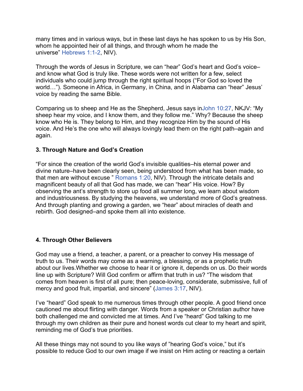many times and in various ways, but in these last days he has spoken to us by His Son, whom he appointed heir of all things, and through whom he made the universe" Hebrews 1:1-2, NIV).

Through the words of Jesus in Scripture, we can "hear" God's heart and God's voice– and know what God is truly like. These words were not written for a few, select individuals who could jump through the right spiritual hoops ("For God so loved the world…"). Someone in Africa, in Germany, in China, and in Alabama can "hear" Jesus' voice by reading the same Bible.

Comparing us to sheep and He as the Shepherd, Jesus says inJohn 10:27, NKJV: "My sheep hear my voice, and I know them, and they follow me." Why? Because the sheep know who He is. They belong to Him, and they recognize Him by the sound of His voice. And He's the one who will always lovingly lead them on the right path–again and again.

#### **3. Through Nature and God's Creation**

"For since the creation of the world God's invisible qualities–his eternal power and divine nature–have been clearly seen, being understood from what has been made, so that men are without excuse " Romans 1:20, NIV). Through the intricate details and magnificent beauty of all that God has made, we can "hear" His voice. How? By observing the ant's strength to store up food all summer long, we learn about wisdom and industriousness. By studying the heavens, we understand more of God's greatness. And through planting and growing a garden, we "hear" about miracles of death and rebirth. God designed–and spoke them all into existence.

#### **4. Through Other Believers**

God may use a friend, a teacher, a parent, or a preacher to convey His message of truth to us. Their words may come as a warning, a blessing, or as a prophetic truth about our lives.Whether we choose to hear it or ignore it, depends on us. Do their words line up with Scripture? Will God confirm or affirm that truth in us? "The wisdom that comes from heaven is first of all pure; then peace-loving, considerate, submissive, full of mercy and good fruit, impartial, and sincere" (James 3:17, NIV).

I've "heard" God speak to me numerous times through other people. A good friend once cautioned me about flirting with danger. Words from a speaker or Christian author have both challenged me and convicted me at times. And I've "heard" God talking to me through my own children as their pure and honest words cut clear to my heart and spirit, reminding me of God's true priorities.

All these things may not sound to you like ways of "hearing God's voice," but it's possible to reduce God to our own image if we insist on Him acting or reacting a certain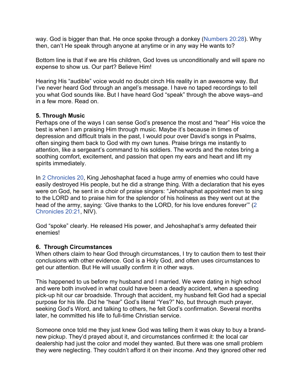way. God is bigger than that. He once spoke through a donkey (Numbers 20:28). Why then, can't He speak through anyone at anytime or in any way He wants to?

Bottom line is that if we are His children, God loves us unconditionally and will spare no expense to show us. Our part? Believe Him!

Hearing His "audible" voice would no doubt cinch His reality in an awesome way. But I've never heard God through an angel's message. I have no taped recordings to tell you what God sounds like. But I have heard God "speak" through the above ways–and in a few more. Read on.

#### **5. Through Music**

Perhaps one of the ways I can sense God's presence the most and "hear" His voice the best is when I am praising Him through music. Maybe it's because in times of depression and difficult trials in the past, I would pour over David's songs in Psalms, often singing them back to God with my own tunes. Praise brings me instantly to attention, like a sergeant's command to his soldiers. The words and the notes bring a soothing comfort, excitement, and passion that open my ears and heart and lift my spirits immediately.

In 2 Chronicles 20, King Jehoshaphat faced a huge army of enemies who could have easily destroyed His people, but he did a strange thing. With a declaration that his eyes were on God, he sent in a choir of praise singers: "Jehoshaphat appointed men to sing to the LORD and to praise him for the splendor of his holiness as they went out at the head of the army, saying: 'Give thanks to the LORD, for his love endures forever'" (2 Chronicles 20:21, NIV).

God "spoke" clearly. He released His power, and Jehoshaphat's army defeated their enemies!

#### **6. Through Circumstances**

When others claim to hear God through circumstances, I try to caution them to test their conclusions with other evidence. God is a Holy God, and often uses circumstances to get our attention. But He will usually confirm it in other ways.

This happened to us before my husband and I married. We were dating in high school and were both involved in what could have been a deadly accident, when a speeding pick-up hit our car broadside. Through that accident, my husband felt God had a special purpose for his life. Did he "hear" God's literal "Yes?" No, but through much prayer, seeking God's Word, and talking to others, he felt God's confirmation. Several months later, he committed his life to full-time Christian service.

Someone once told me they just knew God was telling them it was okay to buy a brandnew pickup. They'd prayed about it, and circumstances confirmed it: the local car dealership had just the color and model they wanted. But there was one small problem they were neglecting. They couldn't afford it on their income. And they ignored other red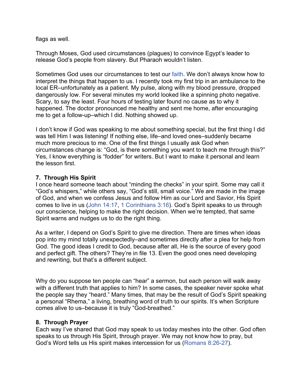flags as well.

Through Moses, God used circumstances (plagues) to convince Egypt's leader to release God's people from slavery. But Pharaoh wouldn't listen.

Sometimes God uses our circumstances to test our faith. We don't always know how to interpret the things that happen to us. I recently took my first trip in an ambulance to the local ER–unfortunately as a patient. My pulse, along with my blood pressure, dropped dangerously low. For several minutes my world looked like a spinning photo negative. Scary, to say the least. Four hours of testing later found no cause as to why it happened. The doctor pronounced me healthy and sent me home, after encouraging me to get a follow-up–which I did. Nothing showed up.

I don't know if God was speaking to me about something special, but the first thing I did was tell Him I was listening! If nothing else, life–and loved ones–suddenly became much more precious to me. One of the first things I usually ask God when circumstances change is: "God, is there something you want to teach me through this?" Yes, I know everything is "fodder" for writers. But I want to make it personal and learn the lesson first.

#### **7. Through His Spirit**

I once heard someone teach about "minding the checks" in your spirit. Some may call it "God's whispers," while others say, "God's still, small voice." We are made in the image of God, and when we confess Jesus and follow Him as our Lord and Savior, His Spirit comes to live in us (John 14:17, 1 Corinthians 3:16). God's Spirit speaks to us through our conscience, helping to make the right decision. When we're tempted, that same Spirit warns and nudges us to do the right thing.

As a writer, I depend on God's Spirit to give me direction. There are times when ideas pop into my mind totally unexpectedly–and sometimes directly after a plea for help from God. The good ideas I credit to God, because after all, He is the source of every good and perfect gift. The others? They're in file 13. Even the good ones need developing and rewriting, but that's a different subject.

Why do you suppose ten people can "hear" a sermon, but each person will walk away with a different truth that applies to him? In some cases, the speaker never spoke what the people say they "heard." Many times, that may be the result of God's Spirit speaking a personal "Rhema," a living, breathing word of truth to our spirits. It's when Scripture comes alive to us–because it is truly "God-breathed."

#### **8. Through Prayer**

Each way I've shared that God may speak to us today meshes into the other. God often speaks to us through His Spirit, through prayer. We may not know how to pray, but God's Word tells us His spirit makes intercession for us (Romans 8:26-27).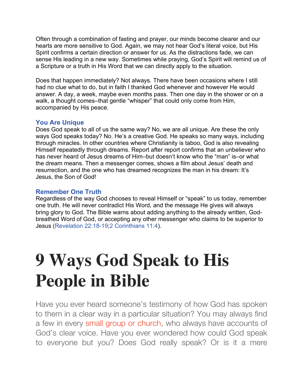Often through a combination of fasting and prayer, our minds become clearer and our hearts are more sensitive to God. Again, we may not hear God's literal voice, but His Spirit confirms a certain direction or answer for us. As the distractions fade, we can sense His leading in a new way. Sometimes while praying, God's Spirit will remind us of a Scripture or a truth in His Word that we can directly apply to the situation.

Does that happen immediately? Not always. There have been occasions where I still had no clue what to do, but in faith I thanked God whenever and however He would answer. A day, a week, maybe even months pass. Then one day in the shower or on a walk, a thought comes–that gentle "whisper" that could only come from Him, accompanied by His peace.

#### **You Are Unique**

Does God speak to all of us the same way? No, we are all unique. Are these the only ways God speaks today? No. He's a creative God. He speaks so many ways, including through miracles. In other countries where Christianity is taboo, God is also revealing Himself repeatedly through dreams. Report after report confirms that an unbeliever who has never heard of Jesus dreams of Him–but doesn't know who the "man" is–or what the dream means. Then a messenger comes, shows a film about Jesus' death and resurrection, and the one who has dreamed recognizes the man in his dream: It's Jesus, the Son of God!

#### **Remember One Truth**

Regardless of the way God chooses to reveal Himself or "speak" to us today, remember one truth. He will never contradict His Word, and the message He gives will always bring glory to God. The Bible warns about adding anything to the already written, Godbreathed Word of God, or accepting any other messenger who claims to be superior to Jesus (Revelation 22:18-19;2 Corinthians 11:4).

# **9 Ways God Speak to His People in Bible**

Have you ever heard someone's testimony of how God has spoken to them in a clear way in a particular situation? You may always find a few in every small group or church, who always have accounts of God's clear voice. Have you ever wondered how could God speak to everyone but you? Does God really speak? Or is it a mere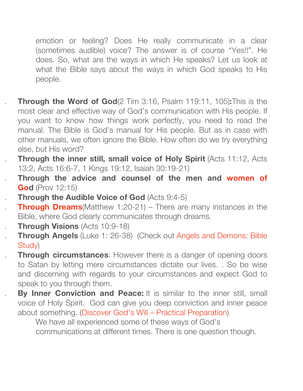emotion or feeling? Does He really communicate in a clear (sometimes audible) voice? The answer is of course "Yes!!". He does. So, what are the ways in which He speaks? Let us look at what the Bible says about the ways in which God speaks to His people.

1. **Through the Word of God**(2 Tim 3:16, Psalm 119:11, 105)**:**This is the most clear and effective way of God's communication with His people. If you want to know how things work perfectly, you need to read the manual. The Bible is God's manual for His people. But as in case with other manuals, we often ignore the Bible. How often do we try everything else, but His word?

**Through the inner still, small voice of Holy Spirit (Acts 11:12, Acts)** 13:2, Acts 16:6-7, 1 Kings 19:12, Isaiah 30:19-21)

- 3. **Through the advice and counsel of the men and women of God** (Prov 12:15)
- **Through the Audible Voice of God** (Acts 9:4-5)
- **Through Dreams**(Matthew 1:20-21) There are many instances in the Bible, where God clearly communicates through dreams.
- **Through Visions** (Acts 10:9-18)
- **Through Angels** (Luke 1: 26-38) (Check out Angels and Demons: Bible Study)

**Through circumstances:** However there is a danger of opening doors to Satan by letting mere circumstances dictate our lives. . So be wise and discerning with regards to your circumstances and expect God to speak to you through them.

**By Inner Conviction and Peace:** It is similar to the inner still, small voice of Holy Spirit. God can give you deep conviction and inner peace about something. (Discover God's Will – Practical Preparation)

We have all experienced some of these ways of God's communications at different times. There is one question though.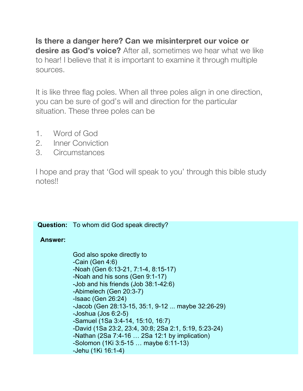**Is there a danger here? Can we misinterpret our voice or desire as God's voice?** After all, sometimes we hear what we like to hear! I believe that it is important to examine it through multiple sources.

It is like three flag poles. When all three poles align in one direction, you can be sure of god's will and direction for the particular situation. These three poles can be

- 1. Word of God
- 2. Inner Conviction
- 3. Circumstances

I hope and pray that 'God will speak to you' through this bible study notes!!

#### **Question:** To whom did God speak directly?

#### **Answer:**

God also spoke directly to -Cain (Gen 4:6) -Noah (Gen 6:13-21, 7:1-4, 8:15-17) -Noah and his sons (Gen 9:1-17) -Job and his friends (Job 38:1-42:6) -Abimelech (Gen 20:3-7) -Isaac (Gen 26:24) -Jacob (Gen 28:13-15, 35:1, 9-12 ... maybe 32:26-29) -Joshua (Jos 6:2-5) -Samuel (1Sa 3:4-14, 15:10, 16:7) -David (1Sa 23:2, 23:4, 30:8; 2Sa 2:1, 5:19, 5:23-24) -Nathan (2Sa 7:4-16 … 2Sa 12:1 by implication) -Solomon (1Ki 3:5-15 … maybe 6:11-13) -Jehu (1Ki 16:1-4)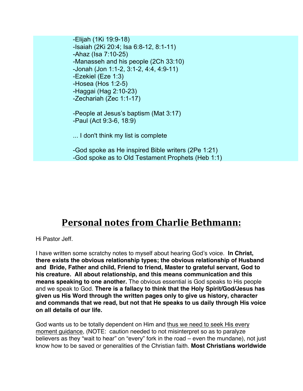-Elijah (1Ki 19:9-18) -Isaiah (2Ki 20:4; Isa 6:8-12, 8:1-11) -Ahaz (Isa 7:10-25) -Manasseh and his people (2Ch 33:10) -Jonah (Jon 1:1-2, 3:1-2, 4:4, 4:9-11) -Ezekiel (Eze 1:3) -Hosea (Hos 1:2-5) -Haggai (Hag 2:10-23) -Zechariah (Zec 1:1-17) -People at Jesus's baptism (Mat 3:17) -Paul (Act 9:3-6, 18:9) ... I don't think my list is complete -God spoke as He inspired Bible writers (2Pe 1:21) -God spoke as to Old Testament Prophets (Heb 1:1)

### **Personal notes from Charlie Bethmann:**

Hi Pastor Jeff.

I have written some scratchy notes to myself about hearing God's voice. **In Christ, there exists the obvious relationship types; the obvious relationship of Husband and Bride, Father and child, Friend to friend, Master to grateful servant, God to his creature. All about relationship, and this means communication and this means speaking to one another.** The obvious essential is God speaks to His people and we speak to God. **There is a fallacy to think that the Holy Spirit/God/Jesus has given us His Word through the written pages only to give us history, character and commands that we read, but not that He speaks to us daily through His voice on all details of our life.**

God wants us to be totally dependent on Him and thus we need to seek His every moment guidance, (NOTE: caution needed to not misinterpret so as to paralyze believers as they "wait to hear" on "every" fork in the road – even the mundane), not just know how to be saved or generalities of the Christian faith. **Most Christians worldwide**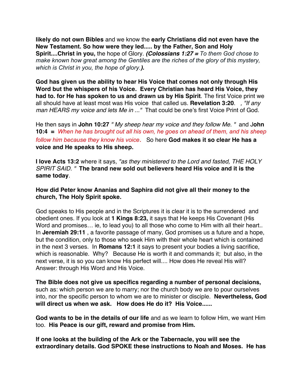**likely do not own Bibles** and we know the **early Christians did not even have the New Testament. So how were they led..... by the Father, Son and Holy Spirit....Christ in you,** the hope of Glory. *(Colossians 1:27 = To them God chose to make known how great among the Gentiles are the riches of the glory of this mystery, which is Christ in you, the hope of glory.).*

**God has given us the ability to hear His Voice that comes not only through His Word but the whispers of his Voice. Every Christian has heard His Voice, they had to. for He has spoken to us and drawn us by His Spirit**. The first Voice print we all should have at least most was His voice that called us. **Revelation 3:20**. *, "If any man HEARS my voice and lets Me in ..."* That could be one's first Voice Print of God.

He then says in **John 10:27** *" My sheep hear my voice and they follow Me. "* and J**ohn 10:4 =** *When he has brought out all his own, he goes on ahead of them, and his sheep follow him because they know his voice*. So here **God makes it so clear He has a voice and He speaks to His sheep.**

**I love Acts 13:2** where it says*, "as they ministered to the Lord and fasted, THE HOLY SPIRIT SAID. "* **The brand new sold out believers heard His voice and it is the same today**.

**How did Peter know Ananias and Saphira did not give all their money to the church, The Holy Spirit spoke.** 

God speaks to His people and in the Scriptures it is clear it is to the surrendered and obedient ones. If you look at **1 Kings 8:23,** it says that He keeps His Covenant (His Word and promises... ie, to lead you) to all those who come to Him with all their heart.. In **Jeremiah 29:11** , a favorite passage of many, God promises us a future and a hope, but the condition, only to those who seek Him with their whole heart which is contained in the next 3 verses. In **Romans 12:1** it says to present your bodies a living sacrifice, which is reasonable. Why? Because He is worth it and commands it; but also, in the next verse, it is so you can know His perfect will.... How does He reveal His will? Answer: through His Word and His Voice.

**The Bible does not give us specifics regarding a number of personal decisions,** such as: which person we are to marry; nor the church body we are to pour ourselves into, nor the specific person to whom we are to minister or disciple. **Nevertheless, God will direct us when we ask. How does He do it? His Voice......**

**God wants to be in the details of our life** and as we learn to follow Him, we want Him too. **His Peace is our gift, reward and promise from Him.** 

**If one looks at the building of the Ark or the Tabernacle, you will see the extraordinary details. God SPOKE these instructions to Noah and Moses. He has**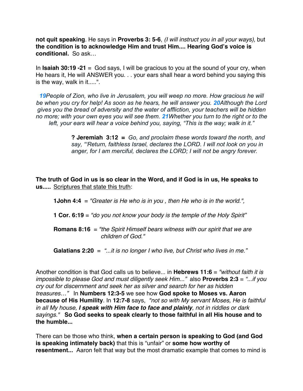**not quit speaking**. He says in **Proverbs 3: 5-6**, *(I will instruct you in all your ways),* but **the condition is to acknowledge Him and trust Him.... Hearing God's voice is conditional.** So ask…

In **Isaiah 30:19 -21** = God says, I will be gracious to you at the sound of your cry, when He hears it, He will ANSWER you. . . your ears shall hear a word behind you saying this is the way, walk in it.....".

*19People of Zion, who live in Jerusalem, you will weep no more. How gracious he will be when you cry for help! As soon as he hears, he will answer you. 20Although the Lord gives you the bread of adversity and the water of affliction, your teachers will be hidden no more; with your own eyes you will see them. 21Whether you turn to the right or to the left, your ears will hear a voice behind you, saying, "This is the way; walk in it."*

> **? Jeremiah 3:12 =** *Go, and proclaim these words toward the north, and say, "'Return, faithless Israel, declares the LORD. I will not look on you in anger, for I am merciful, declares the LORD; I will not be angry forever.*

**The truth of God in us is so clear in the Word, and if God is in us, He speaks to us.....** Scriptures that state this truth:

**1John 4:4** = *"Greater is He who is in you , then He who is in the world.",* 

**1 Cor. 6:19** = *"do you not know your body is the temple of the Holy Spirit"*

**Romans 8:16** = *"the Spirit Himself bears witness with our spirit that we are* *children of God."* 

**Galatians 2:20** = *"...it is no longer I who live, but Christ who lives in me."*

Another condition is that God calls us to believe... in **Hebrews 11:6** = *"without faith it is impossible to please God and must diligently seek Him..."* also **Proverbs 2:3** = *"...if you cry out for discernment and seek her as silver and search for her as hidden treasures…"* In **Numbers 12:3-5** we see how **God spoke to Moses vs. Aaron because of His Humility**. In **12:7-8** says, *"not so with My servant Moses, He is faithful in all My house, I speak with Him face to face and plainly, not in riddles or dark sayings."* **So God seeks to speak clearly to those faithful in all His house and to the humble...**

There can be those who think, **when a certain person is speaking to God (and God is speaking intimately back)** that this is "unfair" or **some how worthy of resentment...** Aaron felt that way but the most dramatic example that comes to mind is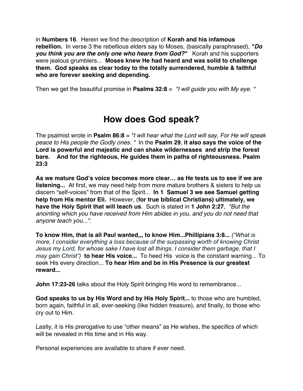in **Numbers 16**. Herein we find the description of **Korah and his infamous rebellion.** In verse 3 the rebellious elders say to Moses, (basically paraphrased), *"Do you think you are the only one who hears from God?"* Korah and his supporters were jealous grumblers... **Moses knew He had heard and was solid to challenge them. God speaks as clear today to the totally surrendered, humble & faithful who are forever seeking and depending.** 

Then we get the beautiful promise in **Psalms 32:8** = *"I will guide you with My eye. "*

### **How does God speak?**

The psalmist wrote in **Psalm 86:8** = *"I will hear what the Lord will say, For He will speak peace to His people the Godly ones. "* In the **Psalm 29**, **it also says the voice of the Lord is powerful and majestic and can shake wildernesses and strip the forest bare. And for the righteous, He guides them in paths of righteousness. Psalm 23:3**

**As we mature God's voice becomes more clear… as He tests us to see if we are listening...** At first, we may need help from more mature brothers & sisters to help us discern "self-voices" from that of the Spirit... **In 1 Samuel 3 we see Samuel getting help from His mentor Eli.** However, (**for true biblical Christians) ultimately, we have the Holy Spirit that will teach us**. Such is stated in **1 John 2:27**, *"But the anointing which you have received from Him abides in you, and you do not need that anyone teach you...".*

**To know Him, that is all Paul wanted,,, to know Him...Phillipians 3:8...** *("What is more, I consider everything a loss because of the surpassing worth of knowing Christ Jesus my Lord, for whose sake I have lost all things. I consider them garbage, that I may gain Christ")* **to hear His voice...** To heed His voice is the constant warning... To seek His every direction... **To hear Him and be in His Presence is our greatest reward...**

**John 17:23-26** talks about the Holy Spirit bringing His word to remembrance...

**God speaks to us by His Word and by His Holy Spirit...** to those who are humbled, born again, faithful in all, ever-seeking (like hidden treasure), and finally, to those who cry out to Him.

Lastly, it is His prerogative to use "other means" as He wishes, the specifics of which will be revealed in His time and in His way.

Personal experiences are available to share if ever need.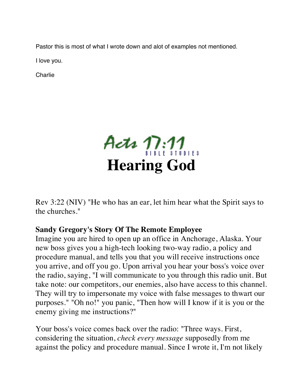Pastor this is most of what I wrote down and alot of examples not mentioned.

I love you.

Charlie



Rev 3:22 (NIV) "He who has an ear, let him hear what the Spirit says to the churches."

### **Sandy Gregory's Story Of The Remote Employee**

Imagine you are hired to open up an office in Anchorage, Alaska. Your new boss gives you a high-tech looking two-way radio, a policy and procedure manual, and tells you that you will receive instructions once you arrive, and off you go. Upon arrival you hear your boss's voice over the radio, saying, "I will communicate to you through this radio unit. But take note: our competitors, our enemies, also have access to this channel. They will try to impersonate my voice with false messages to thwart our purposes." "Oh no!" you panic, "Then how will I know if it is you or the enemy giving me instructions?"

Your boss's voice comes back over the radio: "Three ways. First, considering the situation, *check every message* supposedly from me against the policy and procedure manual. Since I wrote it, I'm not likely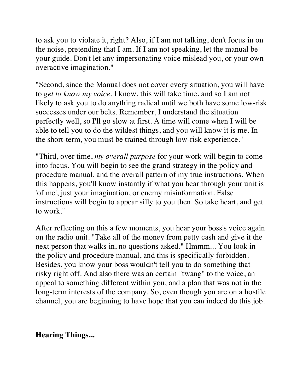to ask you to violate it, right? Also, if I am not talking, don't focus in on the noise, pretending that I am. If I am not speaking, let the manual be your guide. Don't let any impersonating voice mislead you, or your own overactive imagination."

"Second, since the Manual does not cover every situation, you will have to *get to know my voice.* I know, this will take time, and so I am not likely to ask you to do anything radical until we both have some low-risk successes under our belts. Remember, I understand the situation perfectly well, so I'll go slow at first. A time will come when I will be able to tell you to do the wildest things, and you will know it is me. In the short-term, you must be trained through low-risk experience."

"Third, over time, *my overall purpose* for your work will begin to come into focus. You will begin to see the grand strategy in the policy and procedure manual, and the overall pattern of my true instructions. When this happens, you'll know instantly if what you hear through your unit is 'of me', just your imagination, or enemy misinformation. False instructions will begin to appear silly to you then. So take heart, and get to work."

After reflecting on this a few moments, you hear your boss's voice again on the radio unit. "Take all of the money from petty cash and give it the next person that walks in, no questions asked." Hmmm... You look in the policy and procedure manual, and this is specifically forbidden. Besides, you know your boss wouldn't tell you to do something that risky right off. And also there was an certain "twang" to the voice, an appeal to something different within you, and a plan that was not in the long-term interests of the company. So, even though you are on a hostile channel, you are beginning to have hope that you can indeed do this job.

**Hearing Things...**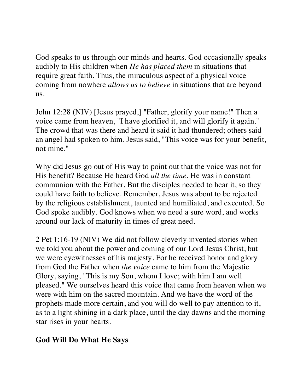God speaks to us through our minds and hearts. God occasionally speaks audibly to His children when *He has placed them* in situations that require great faith. Thus, the miraculous aspect of a physical voice coming from nowhere *allows us to believe* in situations that are beyond us.

John 12:28 (NIV) [Jesus prayed,] "Father, glorify your name!" Then a voice came from heaven, "I have glorified it, and will glorify it again." The crowd that was there and heard it said it had thundered; others said an angel had spoken to him. Jesus said, "This voice was for your benefit, not mine."

Why did Jesus go out of His way to point out that the voice was not for His benefit? Because He heard God *all the time.* He was in constant communion with the Father. But the disciples needed to hear it, so they could have faith to believe. Remember, Jesus was about to be rejected by the religious establishment, taunted and humiliated, and executed. So God spoke audibly. God knows when we need a sure word, and works around our lack of maturity in times of great need.

2 Pet 1:16-19 (NIV) We did not follow cleverly invented stories when we told you about the power and coming of our Lord Jesus Christ, but we were eyewitnesses of his majesty. For he received honor and glory from God the Father when *the voice* came to him from the Majestic Glory, saying, "This is my Son, whom I love; with him I am well pleased." We ourselves heard this voice that came from heaven when we were with him on the sacred mountain. And we have the word of the prophets made more certain, and you will do well to pay attention to it, as to a light shining in a dark place, until the day dawns and the morning star rises in your hearts.

#### **God Will Do What He Says**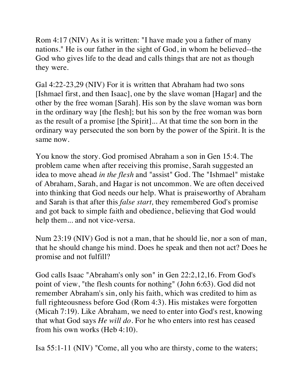Rom 4:17 (NIV) As it is written: "I have made you a father of many nations." He is our father in the sight of God, in whom he believed--the God who gives life to the dead and calls things that are not as though they were.

Gal 4:22-23,29 (NIV) For it is written that Abraham had two sons [Ishmael first, and then Isaac], one by the slave woman [Hagar] and the other by the free woman [Sarah]. His son by the slave woman was born in the ordinary way [the flesh]; but his son by the free woman was born as the result of a promise [the Spirit]... At that time the son born in the ordinary way persecuted the son born by the power of the Spirit. It is the same now.

You know the story. God promised Abraham a son in Gen 15:4. The problem came when after receiving this promise, Sarah suggested an idea to move ahead *in the flesh* and "assist" God. The "Ishmael" mistake of Abraham, Sarah, and Hagar is not uncommon. We are often deceived into thinking that God needs our help. What is praiseworthy of Abraham and Sarah is that after this *false start,* they remembered God's promise and got back to simple faith and obedience, believing that God would help them... and not vice-versa.

Num 23:19 (NIV) God is not a man, that he should lie, nor a son of man, that he should change his mind. Does he speak and then not act? Does he promise and not fulfill?

God calls Isaac "Abraham's only son" in Gen 22:2,12,16. From God's point of view, "the flesh counts for nothing" (John 6:63). God did not remember Abraham's sin, only his faith, which was credited to him as full righteousness before God (Rom 4:3). His mistakes were forgotten (Micah 7:19). Like Abraham, we need to enter into God's rest, knowing that what God says *He will do.* For he who enters into rest has ceased from his own works (Heb 4:10).

Isa 55:1-11 (NIV) "Come, all you who are thirsty, come to the waters;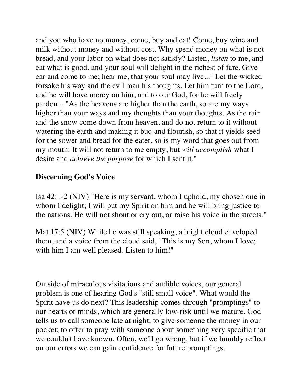and you who have no money, come, buy and eat! Come, buy wine and milk without money and without cost. Why spend money on what is not bread, and your labor on what does not satisfy? Listen, *listen* to me, and eat what is good, and your soul will delight in the richest of fare. Give ear and come to me; hear me, that your soul may live..." Let the wicked forsake his way and the evil man his thoughts. Let him turn to the Lord, and he will have mercy on him, and to our God, for he will freely pardon... "As the heavens are higher than the earth, so are my ways higher than your ways and my thoughts than your thoughts. As the rain and the snow come down from heaven, and do not return to it without watering the earth and making it bud and flourish, so that it yields seed for the sower and bread for the eater, so is my word that goes out from my mouth: It will not return to me empty, but *will accomplish* what I desire and *achieve the purpose* for which I sent it."

#### **Discerning God's Voice**

Isa 42:1-2 (NIV) "Here is my servant, whom I uphold, my chosen one in whom I delight; I will put my Spirit on him and he will bring justice to the nations. He will not shout or cry out, or raise his voice in the streets."

Mat 17:5 (NIV) While he was still speaking, a bright cloud enveloped them, and a voice from the cloud said, "This is my Son, whom I love; with him I am well pleased. Listen to him!"

Outside of miraculous visitations and audible voices, our general problem is one of hearing God's "still small voice". What would the Spirit have us do next? This leadership comes through "promptings" to our hearts or minds, which are generally low-risk until we mature. God tells us to call someone late at night; to give someone the money in our pocket; to offer to pray with someone about something very specific that we couldn't have known. Often, we'll go wrong, but if we humbly reflect on our errors we can gain confidence for future promptings.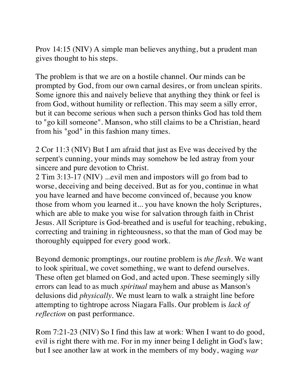Prov 14:15 (NIV) A simple man believes anything, but a prudent man gives thought to his steps.

The problem is that we are on a hostile channel. Our minds can be prompted by God, from our own carnal desires, or from unclean spirits. Some ignore this and naively believe that anything they think or feel is from God, without humility or reflection. This may seem a silly error, but it can become serious when such a person thinks God has told them to "go kill someone". Manson, who still claims to be a Christian, heard from his "god" in this fashion many times.

2 Cor 11:3 (NIV) But I am afraid that just as Eve was deceived by the serpent's cunning, your minds may somehow be led astray from your sincere and pure devotion to Christ.

2 Tim 3:13-17 (NIV) ...evil men and impostors will go from bad to worse, deceiving and being deceived. But as for you, continue in what you have learned and have become convinced of, because you know those from whom you learned it... you have known the holy Scriptures, which are able to make you wise for salvation through faith in Christ Jesus. All Scripture is God-breathed and is useful for teaching, rebuking, correcting and training in righteousness, so that the man of God may be thoroughly equipped for every good work.

Beyond demonic promptings, our routine problem is *the flesh.* We want to look spiritual, we covet something, we want to defend ourselves. These often get blamed on God, and acted upon. These seemingly silly errors can lead to as much *spiritual* mayhem and abuse as Manson's delusions did *physically.* We must learn to walk a straight line before attempting to tightrope across Niagara Falls. Our problem is *lack of reflection* on past performance.

Rom 7:21-23 (NIV) So I find this law at work: When I want to do good, evil is right there with me. For in my inner being I delight in God's law; but I see another law at work in the members of my body, waging *war*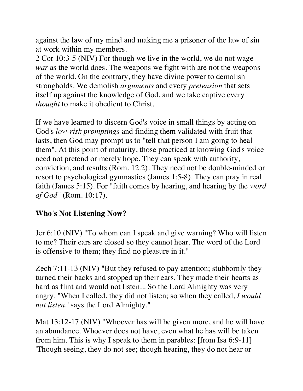against the law of my mind and making me a prisoner of the law of sin at work within my members.

2 Cor 10:3-5 (NIV) For though we live in the world, we do not wage *war* as the world does. The weapons we fight with are not the weapons of the world. On the contrary, they have divine power to demolish strongholds. We demolish *arguments* and every *pretension* that sets itself up against the knowledge of God, and we take captive every *thought* to make it obedient to Christ.

If we have learned to discern God's voice in small things by acting on God's *low-risk promptings* and finding them validated with fruit that lasts, then God may prompt us to "tell that person I am going to heal them". At this point of maturity, those practiced at knowing God's voice need not pretend or merely hope. They can speak with authority, conviction, and results (Rom. 12:2). They need not be double-minded or resort to psychological gymnastics (James 1:5-8). They can pray in real faith (James 5:15). For "faith comes by hearing, and hearing by the *word of God"* (Rom. 10:17).

#### **Who's Not Listening Now?**

Jer 6:10 (NIV) "To whom can I speak and give warning? Who will listen to me? Their ears are closed so they cannot hear. The word of the Lord is offensive to them; they find no pleasure in it."

Zech 7:11-13 (NIV) "But they refused to pay attention; stubbornly they turned their backs and stopped up their ears. They made their hearts as hard as flint and would not listen... So the Lord Almighty was very angry. "When I called, they did not listen; so when they called, *I would not listen,'* says the Lord Almighty."

Mat 13:12-17 (NIV) "Whoever has will be given more, and he will have an abundance. Whoever does not have, even what he has will be taken from him. This is why I speak to them in parables: [from Isa 6:9-11] 'Though seeing, they do not see; though hearing, they do not hear or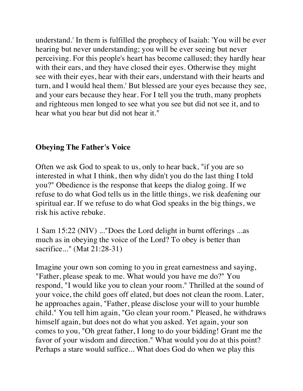understand.' In them is fulfilled the prophecy of Isaiah: 'You will be ever hearing but never understanding; you will be ever seeing but never perceiving. For this people's heart has become callused; they hardly hear with their ears, and they have closed their eyes. Otherwise they might see with their eyes, hear with their ears, understand with their hearts and turn, and I would heal them.' But blessed are your eyes because they see, and your ears because they hear. For I tell you the truth, many prophets and righteous men longed to see what you see but did not see it, and to hear what you hear but did not hear it."

#### **Obeying The Father's Voice**

Often we ask God to speak to us, only to hear back, "if you are so interested in what I think, then why didn't you do the last thing I told you?" Obedience is the response that keeps the dialog going. If we refuse to do what God tells us in the little things, we risk deafening our spiritual ear. If we refuse to do what God speaks in the big things, we risk his active rebuke.

1 Sam 15:22 (NIV) ..."Does the Lord delight in burnt offerings ...as much as in obeying the voice of the Lord? To obey is better than sacrifice..." (Mat 21:28-31)

Imagine your own son coming to you in great earnestness and saying, "Father, please speak to me. What would you have me do?" You respond, "I would like you to clean your room." Thrilled at the sound of your voice, the child goes off elated, but does not clean the room. Later, he approaches again, "Father, please disclose your will to your humble child." You tell him again, "Go clean your room." Pleased, he withdraws himself again, but does not do what you asked. Yet again, your son comes to you, "Oh great father, I long to do your bidding! Grant me the favor of your wisdom and direction." What would you do at this point? Perhaps a stare would suffice... What does God do when we play this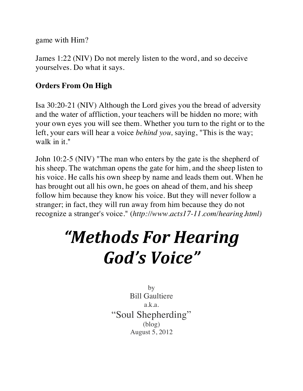game with Him?

James 1:22 (NIV) Do not merely listen to the word, and so deceive yourselves. Do what it says.

### **Orders From On High**

Isa 30:20-21 (NIV) Although the Lord gives you the bread of adversity and the water of affliction, your teachers will be hidden no more; with your own eyes you will see them. Whether you turn to the right or to the left, your ears will hear a voice *behind you,* saying, "This is the way; walk in it."

John 10:2-5 (NIV) "The man who enters by the gate is the shepherd of his sheep. The watchman opens the gate for him, and the sheep listen to his voice. He calls his own sheep by name and leads them out. When he has brought out all his own, he goes on ahead of them, and his sheep follow him because they know his voice. But they will never follow a stranger; in fact, they will run away from him because they do not recognize a stranger's voice." (*http://www.acts17-11.com/hearing.html)*

# *"Methods For Hearing God's Voice"*

by Bill Gaultiere a.k.a. "Soul Shepherding" (blog) August 5, 2012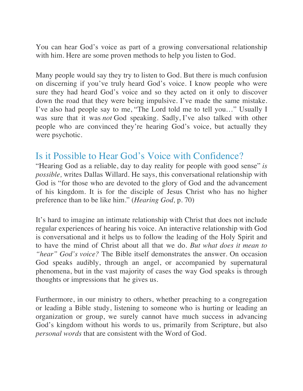You can hear God's voice as part of a growing conversational relationship with him. Here are some proven methods to help you listen to God.

Many people would say they try to listen to God. But there is much confusion on discerning if you've truly heard God's voice. I know people who were sure they had heard God's voice and so they acted on it only to discover down the road that they were being impulsive. I've made the same mistake. I've also had people say to me, "The Lord told me to tell you…" Usually I was sure that it was *not* God speaking. Sadly, I've also talked with other people who are convinced they're hearing God's voice, but actually they were psychotic.

## Is it Possible to Hear God's Voice with Confidence?

"Hearing God as a reliable, day to day reality for people with good sense" *is possible,* writes Dallas Willard. He says, this conversational relationship with God is "for those who are devoted to the glory of God and the advancement of his kingdom. It is for the disciple of Jesus Christ who has no higher preference than to be like him." (*Hearing God,* p. 70)

It's hard to imagine an intimate relationship with Christ that does not include regular experiences of hearing his voice. An interactive relationship with God is conversational and it helps us to follow the leading of the Holy Spirit and to have the mind of Christ about all that we do. *But what does it mean to "hear" God's voice?* The Bible itself demonstrates the answer. On occasion God speaks audibly, through an angel, or accompanied by supernatural phenomena, but in the vast majority of cases the way God speaks is through thoughts or impressions that he gives us.

Furthermore, in our ministry to others, whether preaching to a congregation or leading a Bible study, listening to someone who is hurting or leading an organization or group, we surely cannot have much success in advancing God's kingdom without his words to us, primarily from Scripture, but also *personal words* that are consistent with the Word of God.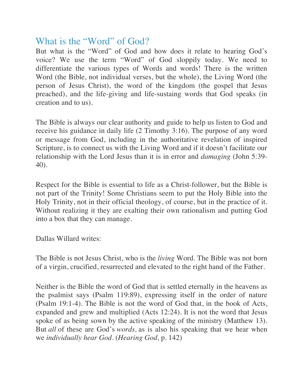## What is the "Word" of God?

But what is the "Word" of God and how does it relate to hearing God's voice? We use the term "Word" of God sloppily today. We need to differentiate the various types of Words and words! There is the written Word (the Bible, not individual verses, but the whole), the Living Word (the person of Jesus Christ), the word of the kingdom (the gospel that Jesus preached), and the life-giving and life-sustaing words that God speaks (in creation and to us).

The Bible is always our clear authority and guide to help us listen to God and receive his guidance in daily life (2 Timothy 3:16). The purpose of any word or message from God, including in the authoritative revelation of inspired Scripture, is to connect us with the Living Word and if it doesn't facilitate our relationship with the Lord Jesus than it is in error and *damaging* (John 5:39- 40).

Respect for the Bible is essential to life as a Christ-follower, but the Bible is not part of the Trinity! Some Christians seem to put the Holy Bible into the Holy Trinity, not in their official theology, of course, but in the practice of it. Without realizing it they are exalting their own rationalism and putting God into a box that they can manage.

Dallas Willard writes:

The Bible is not Jesus Christ, who is the *living* Word. The Bible was not born of a virgin, crucified, resurrected and elevated to the right hand of the Father.

Neither is the Bible the word of God that is settled eternally in the heavens as the psalmist says (Psalm 119:89), expressing itself in the order of nature (Psalm 19:1-4). The Bible is not the word of God that, in the book of Acts, expanded and grew and multiplied (Acts 12:24). It is not the word that Jesus spoke of as being sown by the active speaking of the ministry (Matthew 13). But *all* of these are God's *words,* as is also his speaking that we hear when we *individually hear God.* (*Hearing God,* p. 142)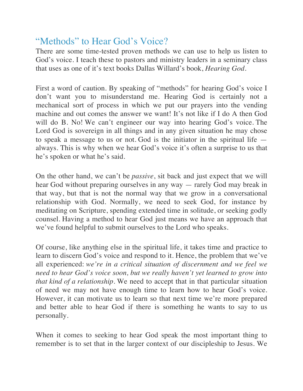## "Methods" to Hear God's Voice?

There are some time-tested proven methods we can use to help us listen to God's voice. I teach these to pastors and ministry leaders in a seminary class that uses as one of it's text books Dallas Willard's book, *Hearing God.*

First a word of caution. By speaking of "methods" for hearing God's voice I don't want you to misunderstand me. Hearing God is certainly not a mechanical sort of process in which we put our prayers into the vending machine and out comes the answer we want! It's not like if I do A then God will do B. No! We can't engineer our way into hearing God's voice. The Lord God is sovereign in all things and in any given situation he may chose to speak a message to us or not. God is the initiator in the spiritual life always. This is why when we hear God's voice it's often a surprise to us that he's spoken or what he's said.

On the other hand, we can't be *passive*, sit back and just expect that we will hear God without preparing ourselves in any way — rarely God may break in that way, but that is not the normal way that we grow in a conversational relationship with God. Normally, we need to seek God, for instance by meditating on Scripture, spending extended time in solitude, or seeking godly counsel. Having a method to hear God just means we have an approach that we've found helpful to submit ourselves to the Lord who speaks.

Of course, like anything else in the spiritual life, it takes time and practice to learn to discern God's voice and respond to it. Hence, the problem that we've all experienced: *we're in a critical situation of discernment and we feel we need to hear God's voice soon, but we really haven't yet learned to grow into that kind of a relationship.* We need to accept that in that particular situation of need we may not have enough time to learn how to hear God's voice. However, it can motivate us to learn so that next time we're more prepared and better able to hear God if there is something he wants to say to us personally.

When it comes to seeking to hear God speak the most important thing to remember is to set that in the larger context of our discipleship to Jesus. We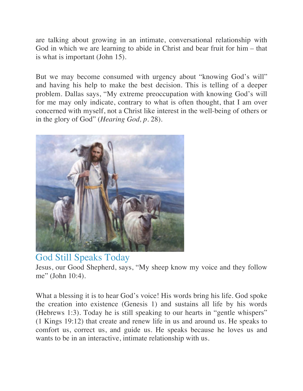are talking about growing in an intimate, conversational relationship with God in which we are learning to abide in Christ and bear fruit for him – that is what is important (John 15).

But we may become consumed with urgency about "knowing God's will" and having his help to make the best decision. This is telling of a deeper problem. Dallas says, "My extreme preoccupation with knowing God's will for me may only indicate, contrary to what is often thought, that I am over concerned with myself, not a Christ like interest in the well-being of others or in the glory of God" (*Hearing God, p.* 28).



## God Still Speaks Today

Jesus, our Good Shepherd, says, "My sheep know my voice and they follow me" (John 10:4).

What a blessing it is to hear God's voice! His words bring his life. God spoke the creation into existence (Genesis 1) and sustains all life by his words (Hebrews 1:3). Today he is still speaking to our hearts in "gentle whispers" (1 Kings 19:12) that create and renew life in us and around us. He speaks to comfort us, correct us, and guide us. He speaks because he loves us and wants to be in an interactive, intimate relationship with us.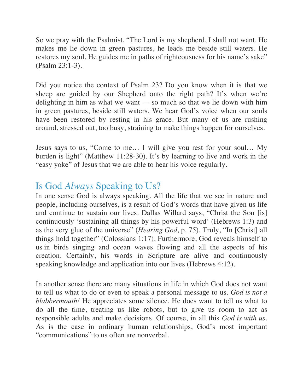So we pray with the Psalmist, "The Lord is my shepherd, I shall not want. He makes me lie down in green pastures, he leads me beside still waters. He restores my soul. He guides me in paths of righteousness for his name's sake" (Psalm 23:1-3).

Did you notice the context of Psalm 23? Do you know when it is that we sheep are guided by our Shepherd onto the right path? It's when we're delighting in him as what we want  $-$  so much so that we lie down with him in green pastures, beside still waters. We hear God's voice when our souls have been restored by resting in his grace. But many of us are rushing around, stressed out, too busy, straining to make things happen for ourselves.

Jesus says to us, "Come to me… I will give you rest for your soul… My burden is light" (Matthew 11:28-30). It's by learning to live and work in the "easy yoke" of Jesus that we are able to hear his voice regularly.

## Is God *Always* Speaking to Us?

In one sense God is always speaking. All the life that we see in nature and people, including ourselves, is a result of God's words that have given us life and continue to sustain our lives. Dallas Willard says, "Christ the Son [is] continuously 'sustaining all things by his powerful word' (Hebrews 1:3) and as the very glue of the universe" (*Hearing God,* p. 75). Truly, "In [Christ] all things hold together" (Colossians 1:17). Furthermore, God reveals himself to us in birds singing and ocean waves flowing and all the aspects of his creation. Certainly, his words in Scripture are alive and continuously speaking knowledge and application into our lives (Hebrews 4:12).

In another sense there are many situations in life in which God does not want to tell us what to do or even to speak a personal message to us. *God is not a blabbermouth!* He appreciates some silence. He does want to tell us what to do all the time, treating us like robots, but to give us room to act as responsible adults and make decisions. Of course, in all this *God is with us.*  As is the case in ordinary human relationships, God's most important "communications" to us often are nonverbal.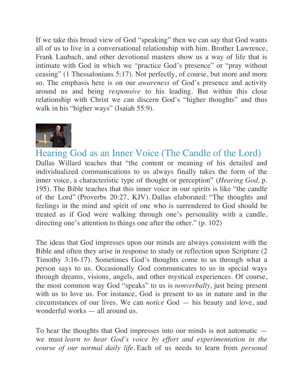If we take this broad view of God "speaking" then we can say that God wants all of us to live in a conversational relationship with him. Brother Lawrence, Frank Laubach, and other devotional masters show us a way of life that is intimate with God in which we "practice God's presence" or "pray without ceasing" (1 Thessalonians 5:17). Not perfectly, of course, but more and more so. The emphasis here is on our *awareness* of God's presence and activity around us and being *responsive* to his leading. But within this close relationship with Christ we can discern God's "higher thoughts" and thus walk in his "higher ways" (Isaiah 55:9).



Hearing God as an Inner Voice (The Candle of the Lord) Dallas Willard teaches that "the content or meaning of his detailed and individualized communications to us always finally takes the form of the inner voice, a characteristic type of thought or perception" (*Hearing God,* p. 195). The Bible teaches that this inner voice in our spirits is like "the candle of the Lord" (Proverbs 20:27, KJV). Dallas elaborated: "The thoughts and feelings in the mind and spirit of one who is surrendered to God should be treated as if God were walking through one's personality with a candle, directing one's attention to things one after the other." (p. 102)

The ideas that God impresses upon our minds are always consistent with the Bible and often they arise in response to study or reflection upon Scripture (2 Timothy 3:16-17). Sometimes God's thoughts come to us through what a person says to us. Occasionally God communicates to us in special ways through dreams, visions, angels, and other mystical experiences. Of course, the most common way God "speaks" to us is *nonverbally,* just being present with us to love us. For instance, God is present to us in nature and in the circumstances of our lives. We can *notice* God — his beauty and love, and wonderful works — all around us.

To hear the thoughts that God impresses into our minds is not automatic we must *learn to hear God's voice by effort and experimentation in the course of our normal daily life.* Each of us needs to learn from *personal*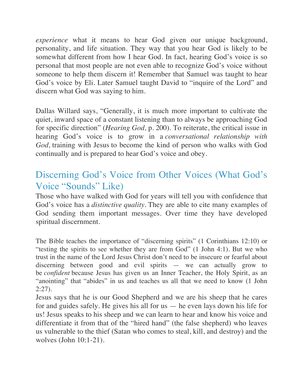*experience* what it means to hear God given our unique background, personality, and life situation. They way that you hear God is likely to be somewhat different from how I hear God. In fact, hearing God's voice is so personal that most people are not even able to recognize God's voice without someone to help them discern it! Remember that Samuel was taught to hear God's voice by Eli. Later Samuel taught David to "inquire of the Lord" and discern what God was saying to him.

Dallas Willard says, "Generally, it is much more important to cultivate the quiet, inward space of a constant listening than to always be approaching God for specific direction" (*Hearing God,* p. 200). To reiterate, the critical issue in hearing God's voice is to grow in a *conversational relationship with God,* training with Jesus to become the kind of person who walks with God continually and is prepared to hear God's voice and obey.

## Discerning God's Voice from Other Voices (What God's Voice "Sounds" Like)

Those who have walked with God for years will tell you with confidence that God's voice has a *distinctive quality.* They are able to cite many examples of God sending them important messages. Over time they have developed spiritual discernment.

The Bible teaches the importance of "discerning spirits" (1 Corinthians 12:10) or "testing the spirits to see whether they are from God" (1 John 4:1). But we who trust in the name of the Lord Jesus Christ don't need to be insecure or fearful about discerning between good and evil spirits — we can actually grow to be *confident* because Jesus has given us an Inner Teacher, the Holy Spirit, as an "anointing" that "abides" in us and teaches us all that we need to know (1 John 2:27).

Jesus says that he is our Good Shepherd and we are his sheep that he cares for and guides safely. He gives his all for us — he even lays down his life for us! Jesus speaks to his sheep and we can learn to hear and know his voice and differentiate it from that of the "hired hand" (the false shepherd) who leaves us vulnerable to the thief (Satan who comes to steal, kill, and destroy) and the wolves (John 10:1-21).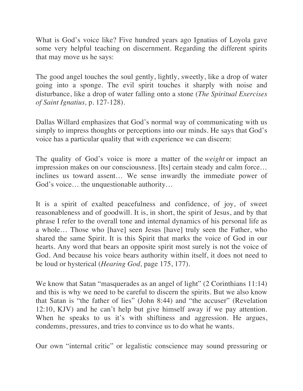What is God's voice like? Five hundred years ago Ignatius of Loyola gave some very helpful teaching on discernment. Regarding the different spirits that may move us he says:

The good angel touches the soul gently, lightly, sweetly, like a drop of water going into a sponge. The evil spirit touches it sharply with noise and disturbance, like a drop of water falling onto a stone (*The Spiritual Exercises of Saint Ignatius,* p. 127-128).

Dallas Willard emphasizes that God's normal way of communicating with us simply to impress thoughts or perceptions into our minds. He says that God's voice has a particular quality that with experience we can discern:

The quality of God's voice is more a matter of the *weight* or impact an impression makes on our consciousness. [Its] certain steady and calm force… inclines us toward assent… We sense inwardly the immediate power of God's voice… the unquestionable authority…

It is a spirit of exalted peacefulness and confidence, of joy, of sweet reasonableness and of goodwill. It is, in short, the spirit of Jesus, and by that phrase I refer to the overall tone and internal dynamics of his personal life as a whole… Those who [have] seen Jesus [have] truly seen the Father, who shared the same Spirit. It is this Spirit that marks the voice of God in our hearts. Any word that bears an opposite spirit most surely is not the voice of God. And because his voice bears authority within itself, it does not need to be loud or hysterical (*Hearing God,* page 175, 177).

We know that Satan "masquerades as an angel of light" (2 Corinthians 11:14) and this is why we need to be careful to discern the spirits. But we also know that Satan is "the father of lies" (John 8:44) and "the accuser" (Revelation 12:10, KJV) and he can't help but give himself away if we pay attention. When he speaks to us it's with shiftiness and aggression. He argues, condemns, pressures, and tries to convince us to do what he wants.

Our own "internal critic" or legalistic conscience may sound pressuring or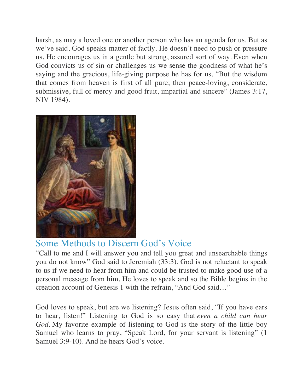harsh, as may a loved one or another person who has an agenda for us. But as we've said, God speaks matter of factly. He doesn't need to push or pressure us. He encourages us in a gentle but strong, assured sort of way. Even when God convicts us of sin or challenges us we sense the goodness of what he's saying and the gracious, life-giving purpose he has for us. "But the wisdom that comes from heaven is first of all pure; then peace-loving, considerate, submissive, full of mercy and good fruit, impartial and sincere" (James 3:17, NIV 1984).



## Some Methods to Discern God's Voice

"Call to me and I will answer you and tell you great and unsearchable things you do not know" God said to Jeremiah (33:3). God is not reluctant to speak to us if we need to hear from him and could be trusted to make good use of a personal message from him. He loves to speak and so the Bible begins in the creation account of Genesis 1 with the refrain, "And God said…"

God loves to speak, but are we listening? Jesus often said, "If you have ears to hear, listen!" Listening to God is so easy that *even a child can hear God.* My favorite example of listening to God is the story of the little boy Samuel who learns to pray, "Speak Lord, for your servant is listening" (1 Samuel 3:9-10). And he hears God's voice.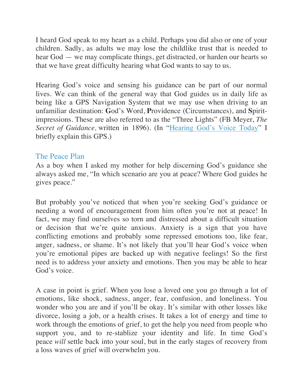I heard God speak to my heart as a child. Perhaps you did also or one of your children. Sadly, as adults we may lose the childlike trust that is needed to hear God — we may complicate things, get distracted, or harden our hearts so that we have great difficulty hearing what God wants to say to us.

Hearing God's voice and sensing his guidance can be part of our normal lives. We can think of the general way that God guides us in daily life as being like a GPS Navigation System that we may use when driving to an unfamiliar destination: **G**od's Word, **P**rovidence (Circumstances), and **S**piritimpressions. These are also referred to as the "Three Lights" (FB Meyer, *The Secret of Guidance,* written in 1896). (In "Hearing God's Voice Today" I briefly explain this GPS.)

#### The Peace Plan

As a boy when I asked my mother for help discerning God's guidance she always asked me, "In which scenario are you at peace? Where God guides he gives peace."

But probably you've noticed that when you're seeking God's guidance or needing a word of encouragement from him often you're not at peace! In fact, we may find ourselves so torn and distressed about a difficult situation or decision that we're quite anxious. Anxiety is a sign that you have conflicting emotions and probably some repressed emotions too, like fear, anger, sadness, or shame. It's not likely that you'll hear God's voice when you're emotional pipes are backed up with negative feelings! So the first need is to address your anxiety and emotions. Then you may be able to hear God's voice.

A case in point is grief. When you lose a loved one you go through a lot of emotions, like shock, sadness, anger, fear, confusion, and loneliness. You wonder who you are and if you'll be okay. It's similar with other losses like divorce, losing a job, or a health crises. It takes a lot of energy and time to work through the emotions of grief, to get the help you need from people who support you, and to re-stablize your identity and life. In time God's peace *will* settle back into your soul, but in the early stages of recovery from a loss waves of grief will overwhelm you.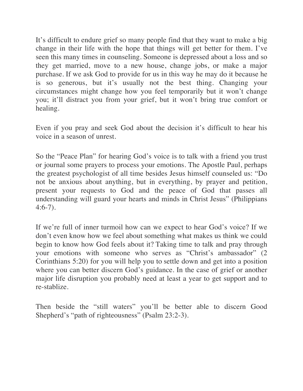It's difficult to endure grief so many people find that they want to make a big change in their life with the hope that things will get better for them. I've seen this many times in counseling. Someone is depressed about a loss and so they get married, move to a new house, change jobs, or make a major purchase. If we ask God to provide for us in this way he may do it because he is so generous, but it's usually not the best thing. Changing your circumstances might change how you feel temporarily but it won't change you; it'll distract you from your grief, but it won't bring true comfort or healing.

Even if you pray and seek God about the decision it's difficult to hear his voice in a season of unrest.

So the "Peace Plan" for hearing God's voice is to talk with a friend you trust or journal some prayers to process your emotions. The Apostle Paul, perhaps the greatest psychologist of all time besides Jesus himself counseled us: "Do not be anxious about anything, but in everything, by prayer and petition, present your requests to God and the peace of God that passes all understanding will guard your hearts and minds in Christ Jesus" (Philippians 4:6-7).

If we're full of inner turmoil how can we expect to hear God's voice? If we don't even know how we feel about something what makes us think we could begin to know how God feels about it? Taking time to talk and pray through your emotions with someone who serves as "Christ's ambassador" (2 Corinthians 5:20) for you will help you to settle down and get into a position where you can better discern God's guidance. In the case of grief or another major life disruption you probably need at least a year to get support and to re-stablize.

Then beside the "still waters" you'll be better able to discern Good Shepherd's "path of righteousness" (Psalm 23:2-3).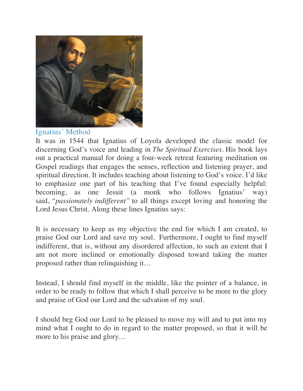

Ignatius' Method

It was in 1544 that Ignatius of Loyola developed the classic model for discerning God's voice and leading in *The Spiritual Exercises.* His book lays out a practical manual for doing a four-week retreat featuring meditation on Gospel readings that engages the senses, reflection and listening prayer, and spiritual direction. It includes teaching about listening to God's voice. I'd like to emphasize one part of his teaching that I've found especially helpful: becoming, as one Jesuit (a monk who follows Ignatius' way) said, *"passionately indifferent"* to all things except loving and honoring the Lord Jesus Christ. Along these lines Ignatius says:

It is necessary to keep as my objective the end for which I am created, to praise God our Lord and save my soul. Furthermore, I ought to find myself indifferent, that is, without any disordered affection, to such an extent that I am not more inclined or emotionally disposed toward taking the matter proposed rather than relinquishing it…

Instead, I should find myself in the middle, like the pointer of a balance, in order to be ready to follow that which I shall perceive to be more to the glory and praise of God our Lord and the salvation of my soul.

I should beg God our Lord to be pleased to move my will and to put into my mind what I ought to do in regard to the matter proposed, so that it will be more to his praise and glory…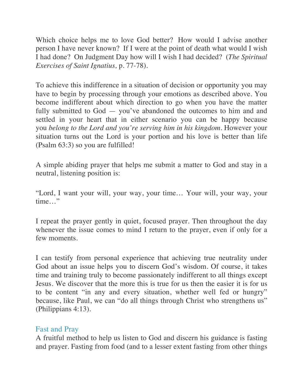Which choice helps me to love God better? How would I advise another person I have never known? If I were at the point of death what would I wish I had done? On Judgment Day how will I wish I had decided? (*The Spiritual Exercises of Saint Ignatius,* p. 77-78).

To achieve this indifference in a situation of decision or opportunity you may have to begin by processing through your emotions as described above. You become indifferent about which direction to go when you have the matter fully submitted to God — you've abandoned the outcomes to him and and settled in your heart that in either scenario you can be happy because you *belong to the Lord and you're serving him in his kingdom.* However your situation turns out the Lord is your portion and his love is better than life (Psalm 63:3) so you are fulfilled!

A simple abiding prayer that helps me submit a matter to God and stay in a neutral, listening position is:

"Lord, I want your will, your way, your time… Your will, your way, your time…"

I repeat the prayer gently in quiet, focused prayer. Then throughout the day whenever the issue comes to mind I return to the prayer, even if only for a few moments.

I can testify from personal experience that achieving true neutrality under God about an issue helps you to discern God's wisdom. Of course, it takes time and training truly to become passionately indifferent to all things except Jesus. We discover that the more this is true for us then the easier it is for us to be content "in any and every situation, whether well fed or hungry" because, like Paul, we can "do all things through Christ who strengthens us" (Philippians 4:13).

#### Fast and Pray

A fruitful method to help us listen to God and discern his guidance is fasting and prayer. Fasting from food (and to a lesser extent fasting from other things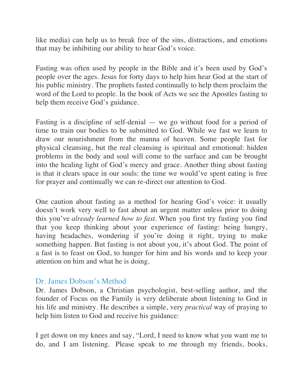like media) can help us to break free of the sins, distractions, and emotions that may be inhibiting our ability to hear God's voice.

Fasting was often used by people in the Bible and it's been used by God's people over the ages. Jesus for forty days to help him hear God at the start of his public ministry. The prophets fasted continually to help them proclaim the word of the Lord to people. In the book of Acts we see the Apostles fasting to help them receive God's guidance.

Fasting is a discipline of self-denial — we go without food for a period of time to train our bodies to be submitted to God. While we fast we learn to draw our nourishment from the manna of heaven. Some people fast for physical cleansing, but the real cleansing is spiritual and emotional: hidden problems in the body and soul will come to the surface and can be brought into the healing light of God's mercy and grace. Another thing about fasting is that it clears space in our souls: the time we would've spent eating is free for prayer and continually we can re-direct our attention to God.

One caution about fasting as a method for hearing God's voice: it usually doesn't work very well to fast about an urgent matter unless prior to doing this you've *already learned how to fast.* When you first try fasting you find that you keep thinking about your experience of fasting: being hungry, having headaches, wondering if you're doing it right, trying to make something happen. But fasting is not about you, it's about God. The point of a fast is to feast on God, to hunger for him and his words and to keep your attention on him and what he is doing.

#### Dr. James Dobson's Method

Dr. James Dobson, a Christian psychologist, best-selling author, and the founder of Focus on the Family is very deliberate about listening to God in his life and ministry. He describes a simple, very *practical* way of praying to help him listen to God and receive his guidance:

I get down on my knees and say, "Lord, I need to know what you want me to do, and I am listening. Please speak to me through my friends, books,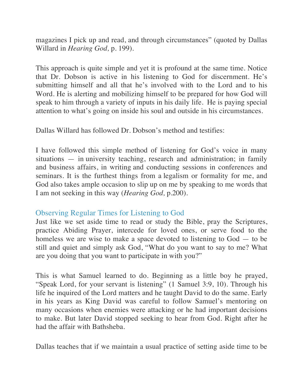magazines I pick up and read, and through circumstances" (quoted by Dallas Willard in *Hearing God,* p. 199).

This approach is quite simple and yet it is profound at the same time. Notice that Dr. Dobson is active in his listening to God for discernment. He's submitting himself and all that he's involved with to the Lord and to his Word. He is alerting and mobilizing himself to be prepared for how God will speak to him through a variety of inputs in his daily life. He is paying special attention to what's going on inside his soul and outside in his circumstances.

Dallas Willard has followed Dr. Dobson's method and testifies:

I have followed this simple method of listening for God's voice in many situations — in university teaching, research and administration; in family and business affairs, in writing and conducting sessions in conferences and seminars. It is the furthest things from a legalism or formality for me, and God also takes ample occasion to slip up on me by speaking to me words that I am not seeking in this way (*Hearing God,* p.200).

#### Observing Regular Times for Listening to God

Just like we set aside time to read or study the Bible, pray the Scriptures, practice Abiding Prayer, intercede for loved ones, or serve food to the homeless we are wise to make a space devoted to listening to God — to be still and quiet and simply ask God, "What do you want to say to me? What are you doing that you want to participate in with you?"

This is what Samuel learned to do. Beginning as a little boy he prayed, "Speak Lord, for your servant is listening" (1 Samuel 3:9, 10). Through his life he inquired of the Lord matters and he taught David to do the same. Early in his years as King David was careful to follow Samuel's mentoring on many occasions when enemies were attacking or he had important decisions to make. But later David stopped seeking to hear from God. Right after he had the affair with Bathsheba.

Dallas teaches that if we maintain a usual practice of setting aside time to be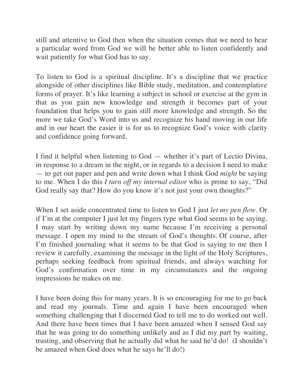still and attentive to God then when the situation comes that we need to hear a particular word from God we will be better able to listen confidently and wait patiently for what God has to say.

To listen to God is a spiritual discipline. It's a discipline that we practice alongside of other disciplines like Bible study, meditation, and contemplative forms of prayer. It's like learning a subject in school or exercise at the gym in that as you gain new knowledge and strength it becomes part of your foundation that helps you to gain still more knowledge and strength. So the more we take God's Word into us and recognize his hand moving in our life and in our heart the easier it is for us to recognize God's voice with clarity and confidence going forward.

I find it helpful when listening to God — whether it's part of Lectio Divina, in response to a dream in the night, or in regards to a decision I need to make — to get out paper and pen and write down what I think God *might* be saying to me. When I do this *I turn off my internal editor* who is prone to say, "Did God really say that? How do you know it's not just your own thoughts?"

When I set aside concentrated time to listen to God I just *let my pen flow.* Or if I'm at the computer I just let my fingers type what God seems to be saying. I may start by writing down my name because I'm receiving a personal message. I open my mind to the stream of God's thoughts. Of course, after I'm finished journaling what it seems to be that God is saying to me then I review it carefully, examining the message in the light of the Holy Scriptures, perhaps seeking feedback from spiritual friends, and always watching for God's confirmation over time in my circumstances and the ongoing impressions he makes on me.

I have been doing this for many years. It is so encouraging for me to go back and read my journals. Time and again I have been encouraged when something challenging that I discerned God to tell me to do worked out well. And there have been times that I have been amazed when I sensed God say that he was going to do something unlikely and as I did my part by waiting, trusting, and observing that he actually did what he said he'd do! (I shouldn't be amazed when God does what he says he'll do!)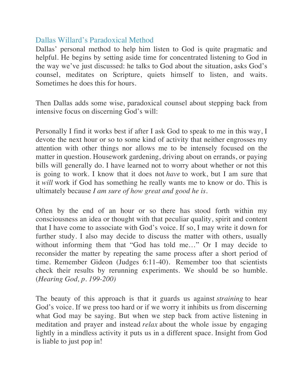#### Dallas Willard's Paradoxical Method

Dallas' personal method to help him listen to God is quite pragmatic and helpful. He begins by setting aside time for concentrated listening to God in the way we've just discussed: he talks to God about the situation, asks God's counsel, meditates on Scripture, quiets himself to listen, and waits. Sometimes he does this for hours.

Then Dallas adds some wise, paradoxical counsel about stepping back from intensive focus on discerning God's will:

Personally I find it works best if after I ask God to speak to me in this way, I devote the next hour or so to some kind of activity that neither engrosses my attention with other things nor allows me to be intensely focused on the matter in question. Housework gardening, driving about on errands, or paying bills will generally do. I have learned not to worry about whether or not this is going to work. I know that it does not *have* to work, but I am sure that it *will* work if God has something he really wants me to know or do. This is ultimately because *I am sure of how great and good he is.*

Often by the end of an hour or so there has stood forth within my consciousness an idea or thought with that peculiar quality, spirit and content that I have come to associate with God's voice. If so, I may write it down for further study. I also may decide to discuss the matter with others, usually without informing them that "God has told me..." Or I may decide to reconsider the matter by repeating the same process after a short period of time. Remember Gideon (Judges 6:11-40). Remember too that scientists check their results by rerunning experiments. We should be so humble. (*Hearing God, p. 199-200)*

The beauty of this approach is that it guards us against *straining* to hear God's voice. If we press too hard or if we worry it inhibits us from discerning what God may be saying. But when we step back from active listening in meditation and prayer and instead *relax* about the whole issue by engaging lightly in a mindless activity it puts us in a different space. Insight from God is liable to just pop in!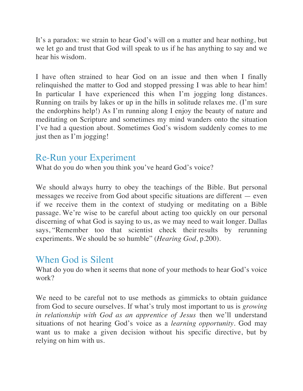It's a paradox: we strain to hear God's will on a matter and hear nothing, but we let go and trust that God will speak to us if he has anything to say and we hear his wisdom.

I have often strained to hear God on an issue and then when I finally relinquished the matter to God and stopped pressing I was able to hear him! In particular I have experienced this when I'm jogging long distances. Running on trails by lakes or up in the hills in solitude relaxes me. (I'm sure the endorphins help!) As I'm running along I enjoy the beauty of nature and meditating on Scripture and sometimes my mind wanders onto the situation I've had a question about. Sometimes God's wisdom suddenly comes to me just then as I'm jogging!

## Re-Run your Experiment

What do you do when you think you've heard God's voice?

We should always hurry to obey the teachings of the Bible. But personal messages we receive from God about specific situations are different — even if we receive them in the context of studying or meditating on a Bible passage. We're wise to be careful about acting too quickly on our personal discerning of what God is saying to us, as we may need to wait longer. Dallas says, "Remember too that scientist check their results by rerunning experiments. We should be so humble" (*Hearing God*, p.200).

## When God is Silent

What do you do when it seems that none of your methods to hear God's voice work?

We need to be careful not to use methods as gimmicks to obtain guidance from God to secure ourselves. If what's truly most important to us is *growing in relationship with God as an apprentice of Jesus* then we'll understand situations of not hearing God's voice as a *learning opportunity.* God may want us to make a given decision without his specific directive, but by relying on him with us.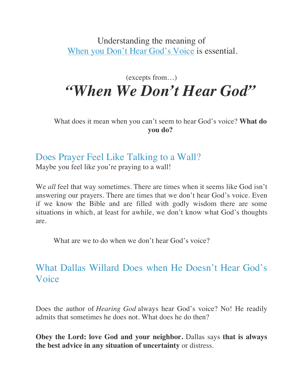Understanding the meaning of When you Don't Hear God's Voice is essential.

## (excepts from…) *"When We Don't Hear God"*

What does it mean when you can't seem to hear God's voice? **What do you do?**

## Does Prayer Feel Like Talking to a Wall?

Maybe you feel like you're praying to a wall!

We *all* feel that way sometimes. There are times when it seems like God isn't answering our prayers. There are times that we don't hear God's voice. Even if we know the Bible and are filled with godly wisdom there are some situations in which, at least for awhile, we don't know what God's thoughts are.

What are we to do when we don't hear God's voice?

## What Dallas Willard Does when He Doesn't Hear God's Voice

Does the author of *Hearing God* always hear God's voice? No! He readily admits that sometimes he does not. What does he do then?

**Obey the Lord: love God and your neighbor.** Dallas says **that is always the best advice in any situation of uncertainty** or distress.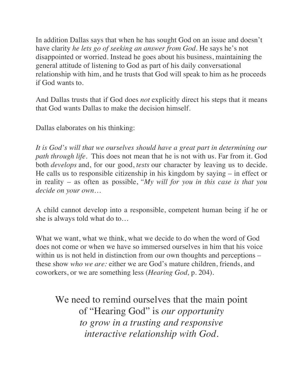In addition Dallas says that when he has sought God on an issue and doesn't have clarity *he lets go of seeking an answer from God.* He says he's not disappointed or worried. Instead he goes about his business, maintaining the general attitude of listening to God as part of his daily conversational relationship with him, and he trusts that God will speak to him as he proceeds if God wants to.

And Dallas trusts that if God does *not* explicitly direct his steps that it means that God wants Dallas to make the decision himself.

Dallas elaborates on his thinking:

*It is God's will that we ourselves should have a great part in determining our path through life.* This does not mean that he is not with us. Far from it. God both *develops* and, for our good, *tests* our character by leaving us to decide. He calls us to responsible citizenship in his kingdom by saying – in effect or in reality – as often as possible, *"My will for you in this case is that you decide on your own…*

A child cannot develop into a responsible, competent human being if he or she is always told what do to…

What we want, what we think, what we decide to do when the word of God does not come or when we have so immersed ourselves in him that his voice within us is not held in distinction from our own thoughts and perceptions – these show *who we are:* either we are God's mature children, friends, and coworkers, or we are something less (*Hearing God,* p. 204).

We need to remind ourselves that the main point of "Hearing God" is *our opportunity to grow in a trusting and responsive interactive relationship with God.*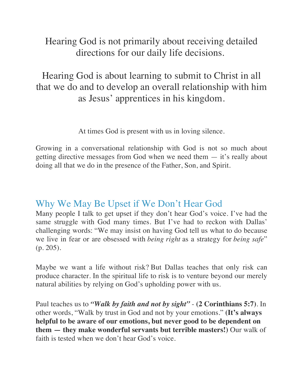## Hearing God is not primarily about receiving detailed directions for our daily life decisions.

## Hearing God is about learning to submit to Christ in all that we do and to develop an overall relationship with him as Jesus' apprentices in his kingdom.

At times God is present with us in loving silence.

Growing in a conversational relationship with God is not so much about getting directive messages from God when we need them — it's really about doing all that we do in the presence of the Father, Son, and Spirit.

## Why We May Be Upset if We Don't Hear God

Many people I talk to get upset if they don't hear God's voice. I've had the same struggle with God many times. But I've had to reckon with Dallas' challenging words: "We may insist on having God tell us what to do because we live in fear or are obsessed with *being right* as a strategy for *being safe*" (p. 205).

Maybe we want a life without risk? But Dallas teaches that only risk can produce character. In the spiritual life to risk is to venture beyond our merely natural abilities by relying on God's upholding power with us.

Paul teaches us to *"Walk by faith and not by sight"* - **(2 Corinthians 5:7)**. In other words, "Walk by trust in God and not by your emotions." **(It's always helpful to be aware of our emotions, but never good to be dependent on them — they make wonderful servants but terrible masters!)** Our walk of faith is tested when we don't hear God's voice.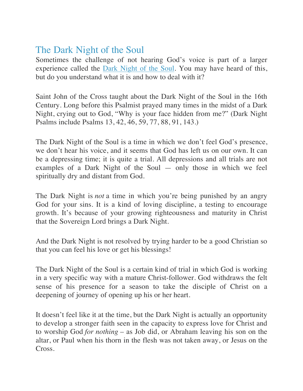## The Dark Night of the Soul

Sometimes the challenge of not hearing God's voice is part of a larger experience called the Dark Night of the Soul. You may have heard of this, but do you understand what it is and how to deal with it?

Saint John of the Cross taught about the Dark Night of the Soul in the 16th Century. Long before this Psalmist prayed many times in the midst of a Dark Night, crying out to God, "Why is your face hidden from me?" (Dark Night Psalms include Psalms 13, 42, 46, 59, 77, 88, 91, 143.)

The Dark Night of the Soul is a time in which we don't feel God's presence, we don't hear his voice, and it seems that God has left us on our own. It can be a depressing time; it is quite a trial. All depressions and all trials are not examples of a Dark Night of the Soul — only those in which we feel spiritually dry and distant from God.

The Dark Night is *not* a time in which you're being punished by an angry God for your sins. It is a kind of loving discipline, a testing to encourage growth. It's because of your growing righteousness and maturity in Christ that the Sovereign Lord brings a Dark Night.

And the Dark Night is not resolved by trying harder to be a good Christian so that you can feel his love or get his blessings!

The Dark Night of the Soul is a certain kind of trial in which God is working in a very specific way with a mature Christ-follower. God withdraws the felt sense of his presence for a season to take the disciple of Christ on a deepening of journey of opening up his or her heart.

It doesn't feel like it at the time, but the Dark Night is actually an opportunity to develop a stronger faith seen in the capacity to express love for Christ and to worship God *for nothing* – as Job did, or Abraham leaving his son on the altar, or Paul when his thorn in the flesh was not taken away, or Jesus on the Cross.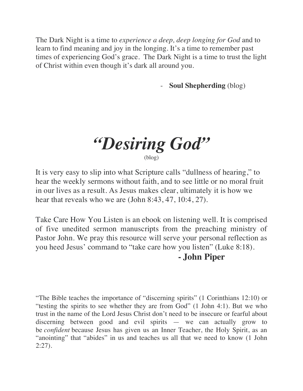The Dark Night is a time to *experience a deep, deep longing for God* and to learn to find meaning and joy in the longing. It's a time to remember past times of experiencing God's grace. The Dark Night is a time to trust the light of Christ within even though it's dark all around you.

- **Soul Shepherding** (blog)

*"Desiring God"* (blog)

It is very easy to slip into what Scripture calls "dullness of hearing," to hear the weekly sermons without faith, and to see little or no moral fruit in our lives as a result. As Jesus makes clear, ultimately it is how we hear that reveals who we are (John 8:43, 47, 10:4, 27).

Take Care How You Listen is an ebook on listening well. It is comprised of five unedited sermon manuscripts from the preaching ministry of Pastor John. We pray this resource will serve your personal reflection as you heed Jesus' command to "take care how you listen" (Luke 8:18).

#### **- John Piper**

"The Bible teaches the importance of "discerning spirits" (1 Corinthians 12:10) or "testing the spirits to see whether they are from God" (1 John 4:1). But we who trust in the name of the Lord Jesus Christ don't need to be insecure or fearful about discerning between good and evil spirits — we can actually grow to be *confident* because Jesus has given us an Inner Teacher, the Holy Spirit, as an "anointing" that "abides" in us and teaches us all that we need to know (1 John 2:27).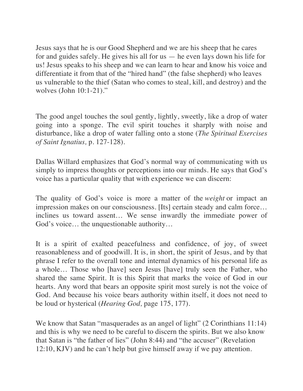Jesus says that he is our Good Shepherd and we are his sheep that he cares for and guides safely. He gives his all for us — he even lays down his life for us! Jesus speaks to his sheep and we can learn to hear and know his voice and differentiate it from that of the "hired hand" (the false shepherd) who leaves us vulnerable to the thief (Satan who comes to steal, kill, and destroy) and the wolves (John 10:1-21)."

The good angel touches the soul gently, lightly, sweetly, like a drop of water going into a sponge. The evil spirit touches it sharply with noise and disturbance, like a drop of water falling onto a stone (*The Spiritual Exercises of Saint Ignatius,* p. 127-128).

Dallas Willard emphasizes that God's normal way of communicating with us simply to impress thoughts or perceptions into our minds. He says that God's voice has a particular quality that with experience we can discern:

The quality of God's voice is more a matter of the *weight* or impact an impression makes on our consciousness. [Its] certain steady and calm force… inclines us toward assent… We sense inwardly the immediate power of God's voice… the unquestionable authority…

It is a spirit of exalted peacefulness and confidence, of joy, of sweet reasonableness and of goodwill. It is, in short, the spirit of Jesus, and by that phrase I refer to the overall tone and internal dynamics of his personal life as a whole… Those who [have] seen Jesus [have] truly seen the Father, who shared the same Spirit. It is this Spirit that marks the voice of God in our hearts. Any word that bears an opposite spirit most surely is not the voice of God. And because his voice bears authority within itself, it does not need to be loud or hysterical (*Hearing God,* page 175, 177).

We know that Satan "masquerades as an angel of light" (2 Corinthians 11:14) and this is why we need to be careful to discern the spirits. But we also know that Satan is "the father of lies" (John 8:44) and "the accuser" (Revelation 12:10, KJV) and he can't help but give himself away if we pay attention.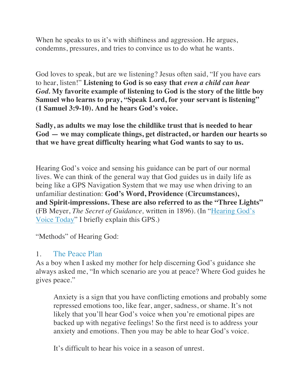When he speaks to us it's with shiftiness and aggression. He argues, condemns, pressures, and tries to convince us to do what he wants.

God loves to speak, but are we listening? Jesus often said, "If you have ears to hear, listen!" **Listening to God is so easy that** *even a child can hear God.* **My favorite example of listening to God is the story of the little boy Samuel who learns to pray, "Speak Lord, for your servant is listening" (1 Samuel 3:9-10). And he hears God's voice.**

**Sadly, as adults we may lose the childlike trust that is needed to hear God — we may complicate things, get distracted, or harden our hearts so that we have great difficulty hearing what God wants to say to us.**

Hearing God's voice and sensing his guidance can be part of our normal lives. We can think of the general way that God guides us in daily life as being like a GPS Navigation System that we may use when driving to an unfamiliar destination: **God's Word, Providence (Circumstances), and Spirit-impressions. These are also referred to as the "Three Lights"** (FB Meyer, *The Secret of Guidance,* written in 1896). (In "Hearing God's Voice Today" I briefly explain this GPS.)

"Methods" of Hearing God:

#### 1. The Peace Plan

As a boy when I asked my mother for help discerning God's guidance she always asked me, "In which scenario are you at peace? Where God guides he gives peace."

Anxiety is a sign that you have conflicting emotions and probably some repressed emotions too, like fear, anger, sadness, or shame. It's not likely that you'll hear God's voice when you're emotional pipes are backed up with negative feelings! So the first need is to address your anxiety and emotions. Then you may be able to hear God's voice.

It's difficult to hear his voice in a season of unrest.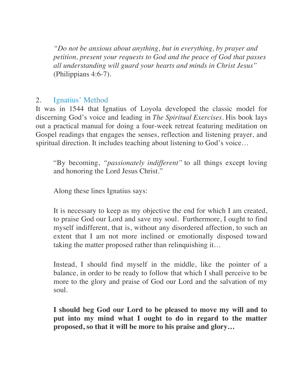*"Do not be anxious about anything, but in everything, by prayer and petition, present your requests to God and the peace of God that passes all understanding will guard your hearts and minds in Christ Jesus"* (Philippians 4:6-7).

#### 2. Ignatius' Method

It was in 1544 that Ignatius of Loyola developed the classic model for discerning God's voice and leading in *The Spiritual Exercises.* His book lays out a practical manual for doing a four-week retreat featuring meditation on Gospel readings that engages the senses, reflection and listening prayer, and spiritual direction. It includes teaching about listening to God's voice…

"By becoming, *"passionately indifferent"* to all things except loving and honoring the Lord Jesus Christ."

Along these lines Ignatius says:

It is necessary to keep as my objective the end for which I am created, to praise God our Lord and save my soul. Furthermore, I ought to find myself indifferent, that is, without any disordered affection, to such an extent that I am not more inclined or emotionally disposed toward taking the matter proposed rather than relinquishing it…

Instead, I should find myself in the middle, like the pointer of a balance, in order to be ready to follow that which I shall perceive to be more to the glory and praise of God our Lord and the salvation of my soul.

**I should beg God our Lord to be pleased to move my will and to put into my mind what I ought to do in regard to the matter proposed, so that it will be more to his praise and glory…**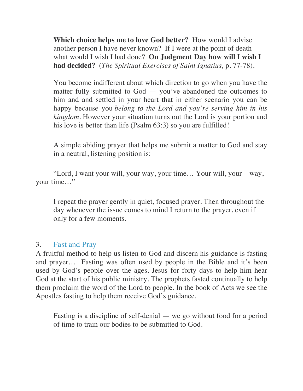**Which choice helps me to love God better?** How would I advise another person I have never known? If I were at the point of death what would I wish I had done? **On Judgment Day how will I wish I had decided?** (*The Spiritual Exercises of Saint Ignatius,* p. 77-78).

You become indifferent about which direction to go when you have the matter fully submitted to God — you've abandoned the outcomes to him and and settled in your heart that in either scenario you can be happy because you *belong to the Lord and you're serving him in his kingdom.* However your situation turns out the Lord is your portion and his love is better than life (Psalm 63:3) so you are fulfilled!

A simple abiding prayer that helps me submit a matter to God and stay in a neutral, listening position is:

"Lord, I want your will, your way, your time… Your will, your way, your time…"

I repeat the prayer gently in quiet, focused prayer. Then throughout the day whenever the issue comes to mind I return to the prayer, even if only for a few moments.

#### 3. Fast and Pray

A fruitful method to help us listen to God and discern his guidance is fasting and prayer… Fasting was often used by people in the Bible and it's been used by God's people over the ages. Jesus for forty days to help him hear God at the start of his public ministry. The prophets fasted continually to help them proclaim the word of the Lord to people. In the book of Acts we see the Apostles fasting to help them receive God's guidance.

Fasting is a discipline of self-denial — we go without food for a period of time to train our bodies to be submitted to God.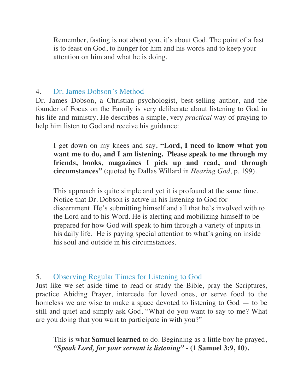Remember, fasting is not about you, it's about God. The point of a fast is to feast on God, to hunger for him and his words and to keep your attention on him and what he is doing.

#### 4. Dr. James Dobson's Method

Dr. James Dobson, a Christian psychologist, best-selling author, and the founder of Focus on the Family is very deliberate about listening to God in his life and ministry. He describes a simple, very *practical* way of praying to help him listen to God and receive his guidance:

I get down on my knees and say, **"Lord, I need to know what you want me to do, and I am listening. Please speak to me through my friends, books, magazines I pick up and read, and through circumstances"** (quoted by Dallas Willard in *Hearing God,* p. 199).

This approach is quite simple and yet it is profound at the same time. Notice that Dr. Dobson is active in his listening to God for discernment. He's submitting himself and all that he's involved with to the Lord and to his Word. He is alerting and mobilizing himself to be prepared for how God will speak to him through a variety of inputs in his daily life. He is paying special attention to what's going on inside his soul and outside in his circumstances.

#### 5. Observing Regular Times for Listening to God

Just like we set aside time to read or study the Bible, pray the Scriptures, practice Abiding Prayer, intercede for loved ones, or serve food to the homeless we are wise to make a space devoted to listening to God — to be still and quiet and simply ask God, "What do you want to say to me? What are you doing that you want to participate in with you?"

This is what **Samuel learned** to do. Beginning as a little boy he prayed, *"Speak Lord, for your servant is listening" -* **(1 Samuel 3:9, 10).**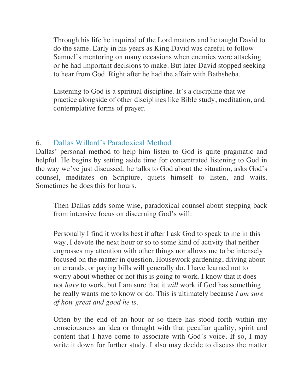Through his life he inquired of the Lord matters and he taught David to do the same. Early in his years as King David was careful to follow Samuel's mentoring on many occasions when enemies were attacking or he had important decisions to make. But later David stopped seeking to hear from God. Right after he had the affair with Bathsheba.

Listening to God is a spiritual discipline. It's a discipline that we practice alongside of other disciplines like Bible study, meditation, and contemplative forms of prayer.

#### 6. Dallas Willard's Paradoxical Method

Dallas' personal method to help him listen to God is quite pragmatic and helpful. He begins by setting aside time for concentrated listening to God in the way we've just discussed: he talks to God about the situation, asks God's counsel, meditates on Scripture, quiets himself to listen, and waits. Sometimes he does this for hours.

Then Dallas adds some wise, paradoxical counsel about stepping back from intensive focus on discerning God's will:

Personally I find it works best if after I ask God to speak to me in this way, I devote the next hour or so to some kind of activity that neither engrosses my attention with other things nor allows me to be intensely focused on the matter in question. Housework gardening, driving about on errands, or paying bills will generally do. I have learned not to worry about whether or not this is going to work. I know that it does not *have* to work, but I am sure that it *will* work if God has something he really wants me to know or do. This is ultimately because *I am sure of how great and good he is.*

Often by the end of an hour or so there has stood forth within my consciousness an idea or thought with that peculiar quality, spirit and content that I have come to associate with God's voice. If so, I may write it down for further study. I also may decide to discuss the matter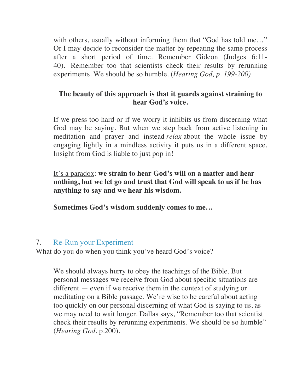with others, usually without informing them that "God has told me..." Or I may decide to reconsider the matter by repeating the same process after a short period of time. Remember Gideon (Judges 6:11- 40). Remember too that scientists check their results by rerunning experiments. We should be so humble. (*Hearing God, p. 199-200)*

#### **The beauty of this approach is that it guards against straining to hear God's voice.**

If we press too hard or if we worry it inhibits us from discerning what God may be saying. But when we step back from active listening in meditation and prayer and instead *relax* about the whole issue by engaging lightly in a mindless activity it puts us in a different space. Insight from God is liable to just pop in!

It's a paradox: **we strain to hear God's will on a matter and hear nothing, but we let go and trust that God will speak to us if he has anything to say and we hear his wisdom.**

**Sometimes God's wisdom suddenly comes to me…**

### 7. Re-Run your Experiment

What do you do when you think you've heard God's voice?

We should always hurry to obey the teachings of the Bible. But personal messages we receive from God about specific situations are different — even if we receive them in the context of studying or meditating on a Bible passage. We're wise to be careful about acting too quickly on our personal discerning of what God is saying to us, as we may need to wait longer. Dallas says, "Remember too that scientist check their results by rerunning experiments. We should be so humble" (*Hearing God*, p.200).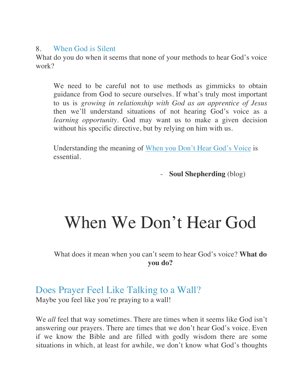#### 8. When God is Silent

What do you do when it seems that none of your methods to hear God's voice work?

We need to be careful not to use methods as gimmicks to obtain guidance from God to secure ourselves. If what's truly most important to us is *growing in relationship with God as an apprentice of Jesus* then we'll understand situations of not hearing God's voice as a *learning opportunity.* God may want us to make a given decision without his specific directive, but by relying on him with us.

Understanding the meaning of When you Don't Hear God's Voice is essential.

- **Soul Shepherding** (blog)

# When We Don't Hear God

What does it mean when you can't seem to hear God's voice? **What do you do?**

## Does Prayer Feel Like Talking to a Wall?

Maybe you feel like you're praying to a wall!

We *all* feel that way sometimes. There are times when it seems like God isn't answering our prayers. There are times that we don't hear God's voice. Even if we know the Bible and are filled with godly wisdom there are some situations in which, at least for awhile, we don't know what God's thoughts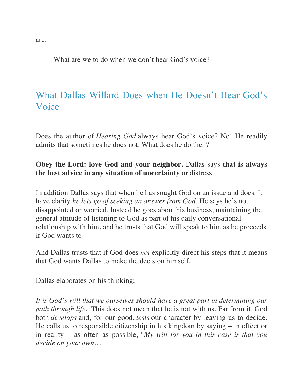What are we to do when we don't hear God's voice?

## What Dallas Willard Does when He Doesn't Hear God's Voice

Does the author of *Hearing God* always hear God's voice? No! He readily admits that sometimes he does not. What does he do then?

#### **Obey the Lord: love God and your neighbor.** Dallas says **that is always the best advice in any situation of uncertainty** or distress.

In addition Dallas says that when he has sought God on an issue and doesn't have clarity *he lets go of seeking an answer from God.* He says he's not disappointed or worried. Instead he goes about his business, maintaining the general attitude of listening to God as part of his daily conversational relationship with him, and he trusts that God will speak to him as he proceeds if God wants to.

And Dallas trusts that if God does *not* explicitly direct his steps that it means that God wants Dallas to make the decision himself.

Dallas elaborates on his thinking:

*It is God's will that we ourselves should have a great part in determining our path through life.* This does not mean that he is not with us. Far from it. God both *develops* and, for our good, *tests* our character by leaving us to decide. He calls us to responsible citizenship in his kingdom by saying – in effect or in reality – as often as possible, *"My will for you in this case is that you decide on your own…*

are.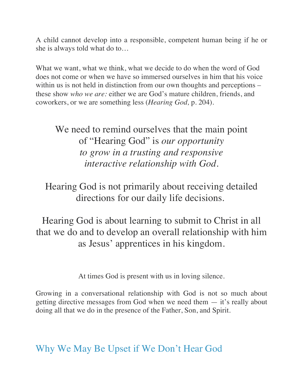A child cannot develop into a responsible, competent human being if he or she is always told what do to…

What we want, what we think, what we decide to do when the word of God does not come or when we have so immersed ourselves in him that his voice within us is not held in distinction from our own thoughts and perceptions – these show *who we are:* either we are God's mature children, friends, and coworkers, or we are something less (*Hearing God,* p. 204).

We need to remind ourselves that the main point of "Hearing God" is *our opportunity to grow in a trusting and responsive interactive relationship with God.*

Hearing God is not primarily about receiving detailed directions for our daily life decisions.

Hearing God is about learning to submit to Christ in all that we do and to develop an overall relationship with him as Jesus' apprentices in his kingdom.

At times God is present with us in loving silence.

Growing in a conversational relationship with God is not so much about getting directive messages from God when we need them — it's really about doing all that we do in the presence of the Father, Son, and Spirit.

## Why We May Be Upset if We Don't Hear God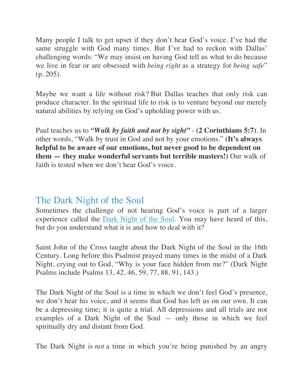Many people I talk to get upset if they don't hear God's voice. I've had the same struggle with God many times. But I've had to reckon with Dallas' challenging words: "We may insist on having God tell us what to do because we live in fear or are obsessed with *being right* as a strategy for *being safe*" (p. 205).

Maybe we want a life without risk? But Dallas teaches that only risk can produce character. In the spiritual life to risk is to venture beyond our merely natural abilities by relying on God's upholding power with us.

Paul teaches us to *"Walk by faith and not by sight"* - **(2 Corinthians 5:7)**. In other words, "Walk by trust in God and not by your emotions." **(It's always helpful to be aware of our emotions, but never good to be dependent on them — they make wonderful servants but terrible masters!)** Our walk of faith is tested when we don't hear God's voice.

## The Dark Night of the Soul

Sometimes the challenge of not hearing God's voice is part of a larger experience called the Dark Night of the Soul. You may have heard of this, but do you understand what it is and how to deal with it?

Saint John of the Cross taught about the Dark Night of the Soul in the 16th Century. Long before this Psalmist prayed many times in the midst of a Dark Night, crying out to God, "Why is your face hidden from me?" (Dark Night Psalms include Psalms 13, 42, 46, 59, 77, 88, 91, 143.)

The Dark Night of the Soul is a time in which we don't feel God's presence, we don't hear his voice, and it seems that God has left us on our own. It can be a depressing time; it is quite a trial. All depressions and all trials are not examples of a Dark Night of the Soul — only those in which we feel spiritually dry and distant from God.

The Dark Night is *not* a time in which you're being punished by an angry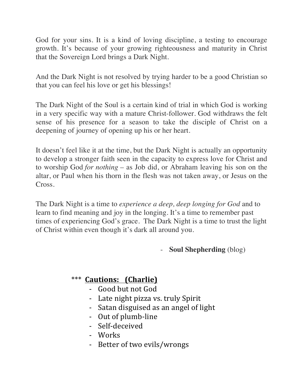God for your sins. It is a kind of loving discipline, a testing to encourage growth. It's because of your growing righteousness and maturity in Christ that the Sovereign Lord brings a Dark Night.

And the Dark Night is not resolved by trying harder to be a good Christian so that you can feel his love or get his blessings!

The Dark Night of the Soul is a certain kind of trial in which God is working in a very specific way with a mature Christ-follower. God withdraws the felt sense of his presence for a season to take the disciple of Christ on a deepening of journey of opening up his or her heart.

It doesn't feel like it at the time, but the Dark Night is actually an opportunity to develop a stronger faith seen in the capacity to express love for Christ and to worship God *for nothing* – as Job did, or Abraham leaving his son on the altar, or Paul when his thorn in the flesh was not taken away, or Jesus on the Cross.

The Dark Night is a time to *experience a deep, deep longing for God* and to learn to find meaning and joy in the longing. It's a time to remember past times of experiencing God's grace. The Dark Night is a time to trust the light of Christ within even though it's dark all around you.

- **Soul Shepherding** (blog)

## \*\*\* **Cautions: (Charlie)**

- Good but not God
- Late night pizza vs. truly Spirit
- Satan disguised as an angel of light
- Out of plumb-line
- Self-deceived
- Works
- Better of two evils/wrongs